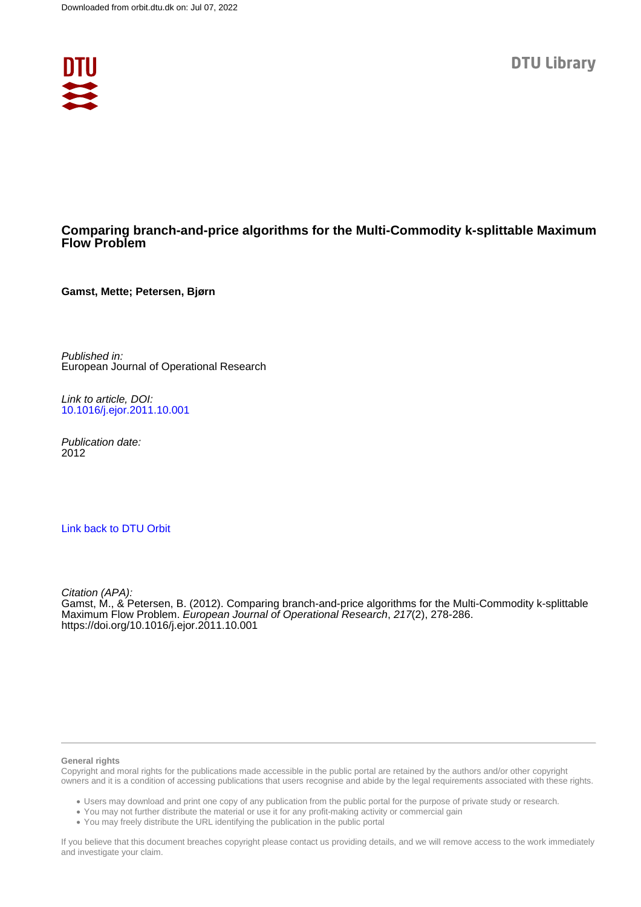

# **Comparing branch-and-price algorithms for the Multi-Commodity k-splittable Maximum Flow Problem**

**Gamst, Mette; Petersen, Bjørn**

Published in: European Journal of Operational Research

Link to article, DOI: [10.1016/j.ejor.2011.10.001](https://doi.org/10.1016/j.ejor.2011.10.001)

Publication date: 2012

## [Link back to DTU Orbit](https://orbit.dtu.dk/en/publications/2ae75783-2a43-4486-903e-9f21b62a73b0)

Citation (APA): Gamst, M., & Petersen, B. (2012). Comparing branch-and-price algorithms for the Multi-Commodity k-splittable Maximum Flow Problem. European Journal of Operational Research, 217(2), 278-286. <https://doi.org/10.1016/j.ejor.2011.10.001>

### **General rights**

Copyright and moral rights for the publications made accessible in the public portal are retained by the authors and/or other copyright owners and it is a condition of accessing publications that users recognise and abide by the legal requirements associated with these rights.

Users may download and print one copy of any publication from the public portal for the purpose of private study or research.

- You may not further distribute the material or use it for any profit-making activity or commercial gain
- You may freely distribute the URL identifying the publication in the public portal

If you believe that this document breaches copyright please contact us providing details, and we will remove access to the work immediately and investigate your claim.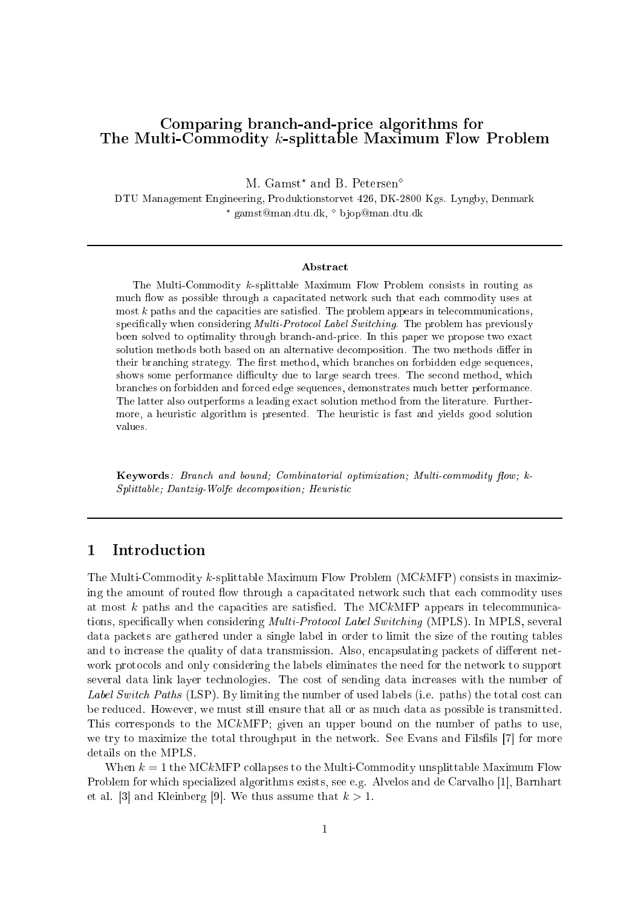# Comparing bran
h-and-pri
e algorithms for The Multi-Commodity k-splittable Maximum Flow Problem

M. Gamst<sup>\*</sup> and B. Petersen<sup> $\diamond$ </sup>

DTU Management Engineering, Produktionstorvet 426, DK-2800 Kgs. Lyngby, Denmark  $\star$  gamst@man.dtu.dk,  $\circ$  bjop@man.dtu.dk

## **Abstract**

The Multi-Commodity k-splittable Maximum Flow Problem onsists in routing as music throw and possible through a componential music such a music control control of the such an  $m$  most  $k$  paths and the capacities are satisfied. The problem appears in telecommunications, spe
i
ally when onsidering Multi-Proto
ol Label Swit
hing. The problem has previously been solved to optimality through bran
h-and-pri
e. In this paper we propose two exa
t solution methods both based on an alternative de
omposition. The two methods dier in their bran
hing strategy. The rst method, whi
h bran
hes on forbidden edge sequen
es, shows some performan
e di
ulty due to large sear
h trees. The se
ond method, whi
h bran
hes on forbidden and for
ed edge sequen
es, demonstrates mu
h better performan
e. The latter also outperforms <sup>a</sup> leading exa
t solution method from the literature. Furthermore, a monetar algorithm is presented. The heuristic solution is fast and present good solution

Keywords: Branch and bound; Combinatorial optimization; Multi-commodity flow; kspeerwood; <del>Dantzig-Wolfe deur Wolfe deur die deur de</del>ur versie

### $\mathbf{1}$ **Introduction**

The Multi-Commodity k-splittable Maximum Flow Problem (MCkMFP) consists in maximizing the amount of routed flow through a capacitated network such that each commodity uses at most  $k$  paths and the capacities are satisfied. The MC $k$ MFP appears in telecommunications, specifically when considering *Multi-Protocol Label Switching* (MPLS). In MPLS, several data pa
kets are gathered under a single label in order to limit the size of the routing tables and to increase the quality of data transmission. Also, encapsulating packets of different network proto
ols and only onsidering the labels eliminates the need for the network to support several data link layer te
hnologies. The ost of sending data in
reases with the number of Label Switch Paths (LSP). By limiting the number of used labels (i.e. paths) the total cost can be redu
ed. However, we must still ensure that all or as mu
h data as possible is transmitted. This corresponds to the MCkMFP; given an upper bound on the number of paths to use, we try to maximize the total throughput in the network. See Evans and Filsfils [7] for more details on the MPLS.

When  $k = 1$  the MCkMFP collapses to the Multi-Commodity unsplittable Maximum Flow Problem for which specialized algorithms exists, see e.g. Alvelos and de Carvalho [1], Barnhart et al. [3] and Kleinberg [9]. We thus assume that  $k > 1$ .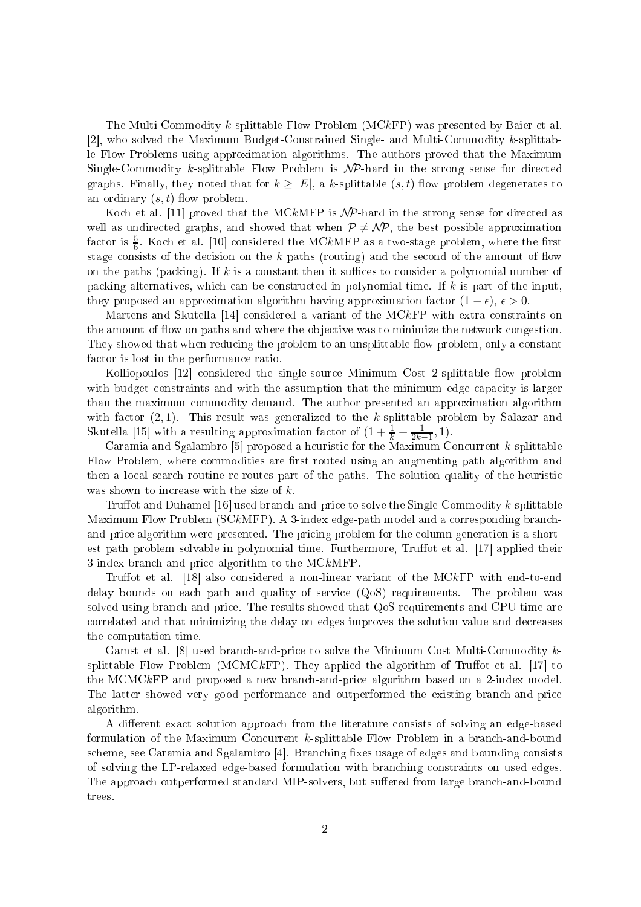The Multi-Commodity k-splittable Flow Problem (MCkFP) was presented by Baier et al. [2], who solved the Maximum Budget-Constrained Single- and Multi-Commodity  $k$ -splittable Flow Problems using approximation algorithms. The authors proved that the Maximum Single-Commodity k-splittable Flow Problem is  $\mathcal{NP}$ -hard in the strong sense for directed graphs. Finally, they noted that for  $k \geq |E|$ , a k-splittable  $(s, t)$  flow problem degenerates to an ordinary  $(s, t)$  flow problem.

Koch et al. [11] proved that the MCkMFP is  $\mathcal{NP}$ -hard in the strong sense for directed as well as undirected graphs, and showed that when  $P \neq \mathcal{NP}$ , the best possible approximation factor is  $\frac{5}{6}$ . Koch et al. [10] considered the MCkMFP as a two-stage problem, where the first stage consists of the decision on the  $k$  paths (routing) and the second of the amount of flow on the paths (packing). If  $k$  is a constant then it suffices to consider a polynomial number of packing alternatives, which can be constructed in polynomial time. If  $k$  is part of the input they proposed an approximation algorithm having approximation factor  $(1 - \epsilon)$ ,  $\epsilon > 0$ .

Martens and Skutella [14] considered a variant of the  $MCKFP$  with extra constraints on the amount of flow on paths and where the objective was to minimize the network congestion They showed that when reducing the problem to an unsplittable flow problem, only a constant factor is lost in the performance ratio.

Kolliopoulos [12] considered the single-source Minimum Cost 2-splittable flow problem with budget constraints and with the assumption that the minimum edge capacity is larger than the maximum ommodity demand. The author presented an approximation algorithm with factor  $(2, 1)$ . This result was generalized to the k-splittable problem by Salazar and Skutella [15] with a resulting approximation factor of  $(1 + \frac{1}{k} + \frac{1}{2k-1}, 1)$ .

Caramia and Sgalambro [5] proposed a heuristic for the Maximum Concurrent  $k$ -splittable Flow Problem, where commodities are first routed using an augmenting path algorithm and then a local search routine re-routes part of the paths. The solution quality of the heuristic was shown to increase with the size of  $k$ .

Truffot and Duhamel  $[16]$  used branch-and-price to solve the Single-Commodity k-splittable Maximum Flow Problem (SCkMFP). A 3-index edge-path model and a corresponding branchand-price algorithm were presented. The pricing problem for the column generation is a shortest path problem solvable in polynomial time. Furthermore, Truffot et al. [17] applied their 3-index bran
h-and-pri
e algorithm to the MCkMFP.

Truffot et al.  $[18]$  also considered a non-linear variant of the MCkFP with end-to-end delay bounds on ea
h path and quality of servi
e (QoS) requirements. The problem was solved using bran
h-and-pri
e. The results showed that QoS requirements and CPU time are orrelated and that minimizing the delay on edges improves the solution value and de
reases the omputation time.

Gamst et al.  $[8]$  used branch-and-price to solve the Minimum Cost Multi-Commodity  $k$ splittable Flow Problem (MCMCkFP). They applied the algorithm of Truffot et al.  $[17]$  to the MCMCkFP and proposed <sup>a</sup> new bran
h-and-pri
e algorithm based on <sup>a</sup> 2-index model. The latter showed very good performan
e and outperformed the existing bran
h-and-pri
e algorithm.

A different exact solution approach from the literature consists of solving an edge-based formulation of the Maximum Concurrent k-splittable Flow Problem in a branch-and-bound scheme, see Caramia and Sgalambro [4]. Branching fixes usage of edges and bounding consists of solving the LP-relaxed edge-based formulation with bran
hing onstraints on used edges. The approach outperformed standard MIP-solvers, but suffered from large branch-and-bound trees.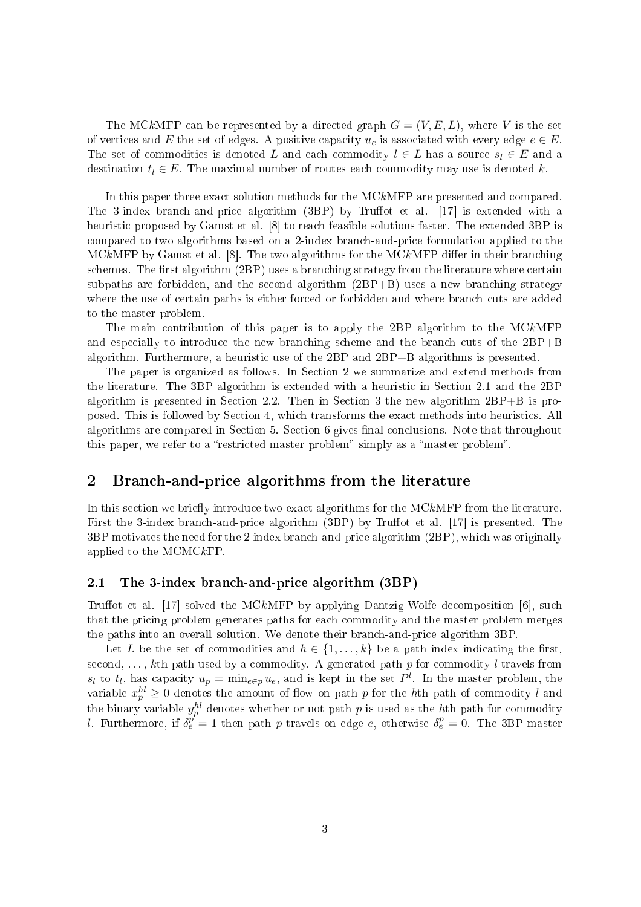The MCkMFP can be represented by a directed graph  $G = (V, E, L)$ , where V is the set of vertices and E the set of edges. A positive capacity  $u_e$  is associated with every edge  $e \in E$ . The set of commodities is denoted L and each commodity  $l \in L$  has a source  $s_l \in E$  and a destination  $t_l \in E$ . The maximal number of routes each commodity may use is denoted k.

In this paper three exact solution methods for the MCkMFP are presented and compared. The 3-index branch-and-price algorithm (3BP) by Truffot et al. [17] is extended with a heuristic proposed by Gamst et al. [8] to reach feasible solutions faster. The extended 3BP is ompared to two algorithms based on a 2-index bran
h-and-pri
e formulation applied to the MCkMFP by Gamst et al.  $[8]$ . The two algorithms for the MCkMFP differ in their branching schemes. The first algorithm (2BP) uses a branching strategy from the literature where certain subpaths are forbidden, and the second algorithm  $(2BP+B)$  uses a new branching strategy where the use of certain paths is either forced or forbidden and where branch cuts are added to the master problem.

The main ontribution of this paper is to apply the 2BP algorithm to the MCkMFP and especially to introduce the new branching scheme and the branch cuts of the  $2BP+B$ algorithm. Furthermore, a heuristic use of the 2BP and 2BP+B algorithms is presented.

The paper is organized as follows. In Section 2 we summarize and extend methods from the literature. The 3BP algorithm is extended with a heuristic in Section 2.1 and the 2BP algorithm is presented in Section 2.2. Then in Section 3 the new algorithm  $2BP+B$  is proposed. This is followed by Se
tion 4, whi
h transforms the exa
t methods into heuristi
s. All algorithms are compared in Section 5. Section 6 gives final conclusions. Note that throughout this paper, we refer to a "restricted master problem" simply as a "master problem".

### 2Bran
h-and-pri
e algorithms from the literature

In this section we briefly introduce two exact algorithms for the MCkMFP from the literature. First the 3-index branch-and-price algorithm  $(3BP)$  by Truffot et al. [17] is presented. The 3BP motivates the need for the 2-index bran
h-and-pri
e algorithm (2BP), whi
h was originally applied to the MCMCkFP.

#### 2.1The 3-index bran
h-and-pri
e algorithm (3BP)

Truffot et al. [17] solved the MCkMFP by applying Dantzig-Wolfe decomposition [6], such that the pricing problem generates paths for each commodity and the master problem merges the paths into an overall solution. We denote their bran
h-and-pri
e algorithm 3BP.

Let L be the set of commodities and  $h \in \{1, \ldots, k\}$  be a path index indicating the first, second, ..., kth path used by a commodity. A generated path  $p$  for commodity l travels from  $s_l$  to  $t_l$ , has capacity  $u_p = \min_{e \in p} u_e$ , and is kept in the set  $P^l$ . In the master problem, the variable  $x_p^{hl} \geq 0$  denotes the amount of flow on path  $p$  for the  $h$ th path of commodity  $l$  and the binary variable  $y_p^{hl}$  denotes whether or not path  $p$  is used as the  $h$ th path for commodity l. Furthermore, if  $\delta_e^{p^e} = 1$  then path p travels on edge e, otherwise  $\delta_e^p = 0$ . The 3BP master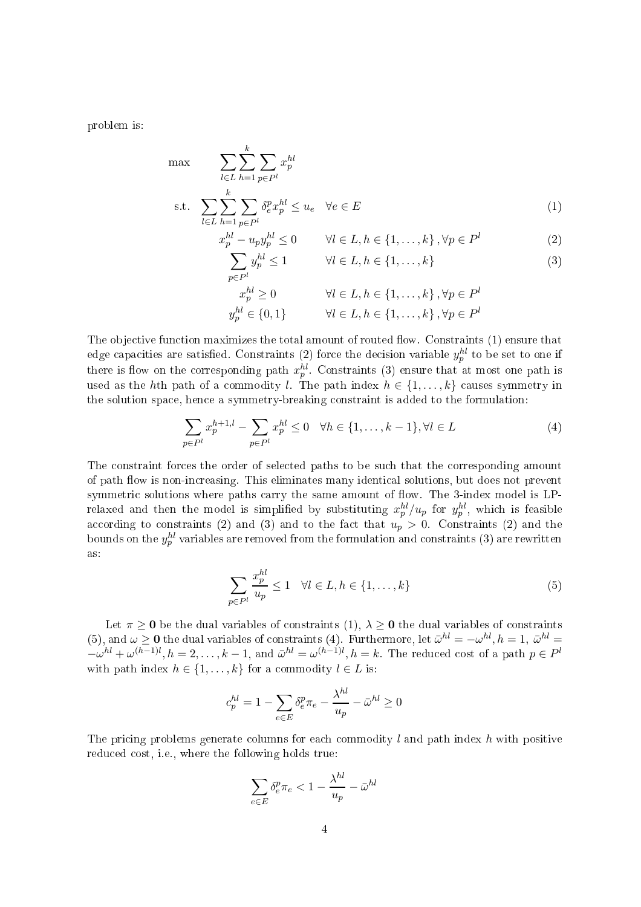problem is:

$$
\max \qquad \sum_{l \in L} \sum_{h=1}^{k} \sum_{p \in P^l} x_p^{hl}
$$
\n
$$
\text{s.t.} \quad \sum_{l \in L} \sum_{h=1}^{k} \sum_{p \in P^l} \delta_e^p x_p^{hl} \le u_e \quad \forall e \in E
$$
\n
$$
(1)
$$

$$
x_p^{hl} - u_p y_p^{hl} \le 0 \qquad \forall l \in L, h \in \{1, \dots, k\}, \forall p \in P^l
$$

$$
\sum u_n^{hl} < 1 \qquad \forall l \in L, h \in \{1, \dots, k\} \tag{3}
$$

$$
y_p^{hl} \le 1 \qquad \forall l \in L, h \in \{1, \dots, k\}
$$
 (3)

$$
x_p^{hl} \ge 0 \qquad \forall l \in L, h \in \{1, ..., k\}, \forall p \in P^l
$$
  

$$
y_p^{hl} \in \{0, 1\} \qquad \forall l \in L, h \in \{1, ..., k\}, \forall p \in P^l
$$

The objective function maximizes the total amount of routed flow. Constraints (1) ensure that edge capacities are satisfied. Constraints (2) force the decision variable  $y_p^{hl}$  to be set to one if<br>there is flow on the corresponding path  $x_p^{hl}$ . Constraints (3) ensure that at most one path is used as the hth path of a commodity l. The path index  $h \in \{1, \ldots, k\}$  causes symmetry in the solution spa
e, hen
e a symmetry-breaking onstraint is added to the formulation:

 $p \in P^l$ 

$$
\sum_{p \in P^l} x_p^{h+1,l} - \sum_{p \in P^l} x_p^{hl} \le 0 \quad \forall h \in \{1, \dots, k-1\}, \forall l \in L
$$
 (4)

The constraint forces the order of selected paths to be such that the corresponding amount of path flow is non-increasing. This eliminates many identical solutions, but does not prevent relaxed and then the model is simplified by substituting  $x_p^{hl}/u_p$  for  $y_p^{hl}$ , which is feasible<br>according to constraints (2) and (3) and to the fact that  $u_p > 0$ . Constraints (2) and the bounds on the  $y_p^{hl}$  variables are removed from the formulation and constraints  $\left( 3\right)$  are rewritten as:

$$
\sum_{p \in P^l} \frac{x_p^{hl}}{u_p} \le 1 \quad \forall l \in L, h \in \{1, \dots, k\}
$$
\n
$$
(5)
$$

Let  $\pi \geq 0$  be the dual variables of constraints  $(1), \lambda \geq 0$  the dual variables of constraints (5), and  $\omega \ge 0$  the dual variables of constraints (4). Furthermore, let  $\bar{\omega}^{hl} = -\omega^{hl}, h = 1, \bar{\omega}^{hl} = 1$  $-\omega^{hl} + \omega^{(h-1)l}, h = 2, \ldots, k-1$ , and  $\bar{\omega}^{hl} = \omega^{(h-1)l}, h = k$ . The reduced cost of a path  $p \in P^l$ with path index  $h \in \{1, \ldots, k\}$  for a commodity  $l \in L$  is:

$$
c_p^{hl} = 1 - \sum_{e \in E} \delta_e^p \pi_e - \frac{\lambda^{hl}}{u_p} - \bar{\omega}^{hl} \ge 0
$$

The pricing problems generate columns for each commodity  $l$  and path index  $h$  with positive reduced cost, i.e., where the following holds true:

$$
\sum_{e \in E} \delta_e^p \pi_e < 1 - \frac{\lambda^{hl}}{u_p} - \bar{\omega}^{hl}
$$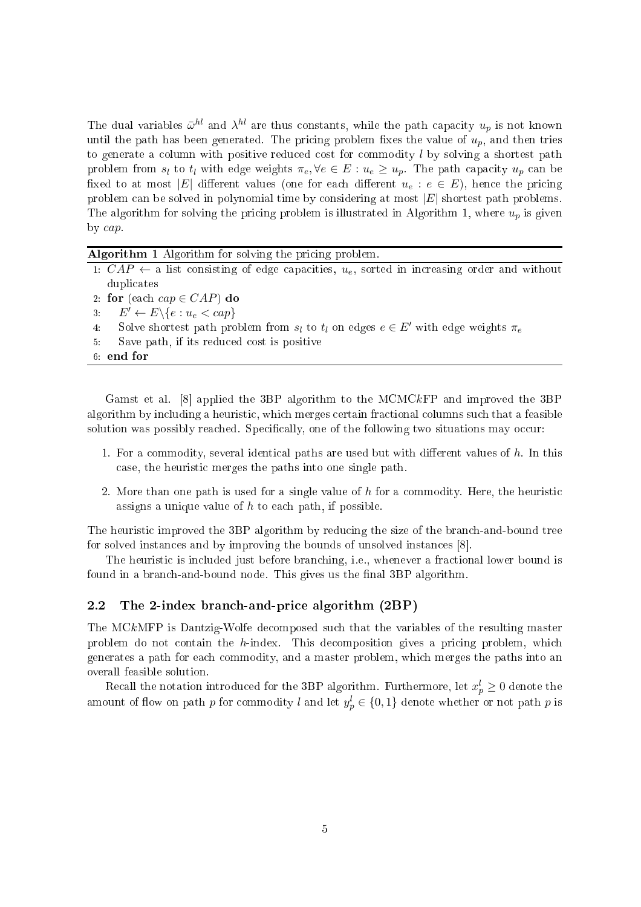The dual variables  $\bar{\omega}^{hl}$  and  $\lambda^{hl}$  are thus constants, while the path capacity  $u_p$  is not known until the path has been generated. The pricing problem fixes the value of  $u_p$ , and then tries to generate a column with positive reduced cost for commodity  $l$  by solving a shortest path problem from  $s_l$  to  $t_l$  with edge weights  $\pi_e, \forall e \in E : u_e \geq u_p$ . The path capacity  $u_p$  can be fixed to at most |E| different values (one for each different  $u_e : e \in E$ ), hence the pricing problem can be solved in polynomial time by considering at most  $|E|$  shortest path problems. The algorithm for solving the pricing problem is illustrated in Algorithm 1, where  $u_p$  is given by cap.

|  |  |  | Algorithm 1 Algorithm for solving the pricing problem. |  |  |  |  |  |
|--|--|--|--------------------------------------------------------|--|--|--|--|--|
|--|--|--|--------------------------------------------------------|--|--|--|--|--|

|    | 1: $CAP \leftarrow$ a list consisting of edge capacities, $u_e$ , sorted in increasing order and without |
|----|----------------------------------------------------------------------------------------------------------|
|    | duplicates                                                                                               |
|    | 2: for (each $cap \in CAP$ ) do                                                                          |
|    | 3. $E' \leftarrow E \setminus \{e : u_e < cap\}$                                                         |
| 4: | Solve shortest path problem from $s_l$ to $t_l$ on edges $e \in E'$ with edge weights $\pi_e$            |
| 5. | Save path, if its reduced cost is positive                                                               |
|    | $6.$ end for                                                                                             |
|    |                                                                                                          |

Gamst et al.  $[8]$  applied the 3BP algorithm to the MCMCkFP and improved the 3BP algorithm by in
luding a heuristi
, whi
h merges ertain fra
tional olumns su
h that a feasible solution was possibly reached. Specifically, one of the following two situations may occur.

- 1. For a commodity, several identical paths are used but with different values of  $h$ . In this ase, the heuristi merges the paths into one single path.
- 2. More than one path is used for a single value of h for a commodity. Here, the heuristic assigns a unique value of  $h$  to each path, if possible.

The heuristic improved the 3BP algorithm by reducing the size of the branch-and-bound tree for solved instances and by improving the bounds of unsolved instances  $[8]$ .

The heuristic is included just before branching, i.e., whenever a fractional lower bound is found in a branch-and-bound node. This gives us the final 3BP algorithm.

### 2.2The 2-index bran
h-and-pri
e algorithm (2BP)

The MCkMFP is Dantzig-Wolfe de
omposed su
h that the variables of the resulting master problem do not contain the h-index. This decomposition gives a pricing problem, which generates a path for ea
h ommodity, and a master problem, whi
h merges the paths into an overall feasible solution.

Recall the notation introduced for the 3BP algorithm. Furthermore, let  $x_p^l \geq 0$  denote the amount of flow on path  $p$  for commodity  $l$  and let  $y_p^l \in \{0,1\}$  denote whether or not path  $p$  is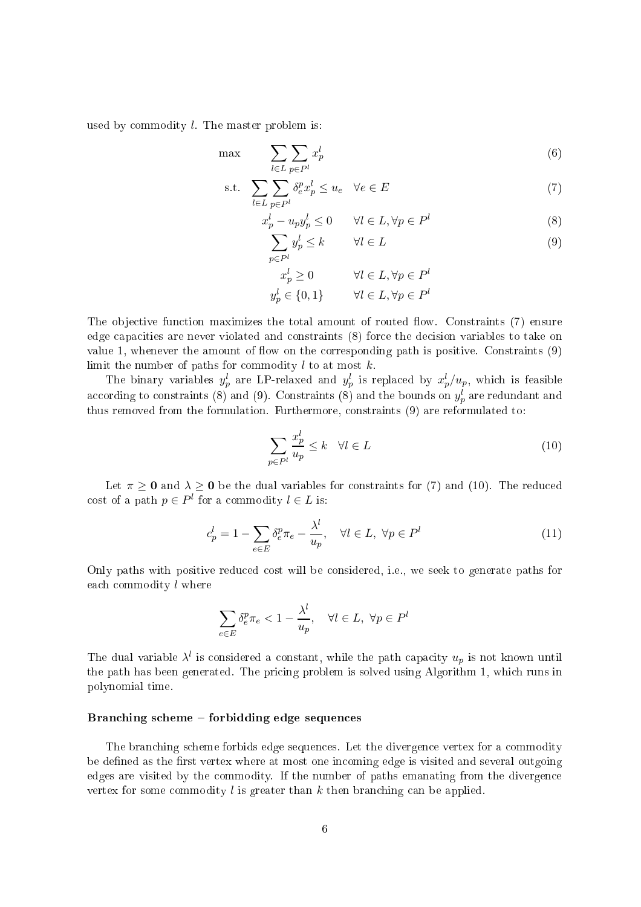used by commodity  $l$ . The master problem is:

$$
\max \qquad \sum_{l \in L} \sum_{p \in P^l} x_p^l \tag{6}
$$

$$
\text{s.t.} \quad \sum_{l \in L} \sum_{p \in P^l} \delta_e^p x_p^l \le u_e \quad \forall e \in E \tag{7}
$$

$$
x_p^l - u_p y_p^l \le 0 \qquad \forall l \in L, \forall p \in P^l \tag{8}
$$

$$
\sum_{p \in P^l} y_p^l \le k \qquad \forall l \in L \tag{9}
$$

$$
x_p^l \ge 0 \qquad \forall l \in L, \forall p \in P^l
$$

$$
y_p^l \in \{0, 1\} \qquad \forall l \in L, \forall p \in P^l
$$

The objective function maximizes the total amount of routed flow. Constraints (7) ensure edge capacities are never violated and constraints (8) force the decision variables to take on value 1, whenever the amount of flow on the corresponding path is positive. Constraints  $(9)$ limit the number of paths for commodity  $l$  to at most  $k$ .

The binary variables  $y_p^l$  are LP-relaxed and  $y_p^l$  is replaced by  $x_p^l/u_p$ , which is feasible according to constraints (8) and (9). Constraints (8) and the bounds on  $y_p^l$  are redundant and thus removed from the formulation. Furthermore, onstraints (9) are reformulated to:

$$
\sum_{p \in P^l} \frac{x_p^l}{u_p} \le k \quad \forall l \in L \tag{10}
$$

Let  $\pi \geq 0$  and  $\lambda \geq 0$  be the dual variables for constraints for (7) and (10). The reduced cost of a path  $p \in P^l$  for a commodity  $l \in L$  is:

$$
c_p^l = 1 - \sum_{e \in E} \delta_e^p \pi_e - \frac{\lambda^l}{u_p}, \quad \forall l \in L, \ \forall p \in P^l \tag{11}
$$

Only paths with positive reduced cost will be considered, i.e., we seek to generate paths for ea
h ommodity l where

$$
\sum_{e \in E} \delta_e^p \pi_e < 1 - \frac{\lambda^l}{u_p}, \quad \forall l \in L, \ \forall p \in P^l
$$

The dual variable  $\lambda^l$  is considered a constant, while the path capacity  $u_p$  is not known until the path has been generated. The pricing problem is solved using Algorithm 1, which runs in polynomial time.

## Branching scheme – forbidding edge sequences

The branching scheme forbids edge sequences. Let the divergence vertex for a commodity be defined as the first vertex where at most one incoming edge is visited and several outgoing edges are visited by the ommodity. If the number of paths emanating from the divergen
e vertex for some commodity  $l$  is greater than  $k$  then branching can be applied.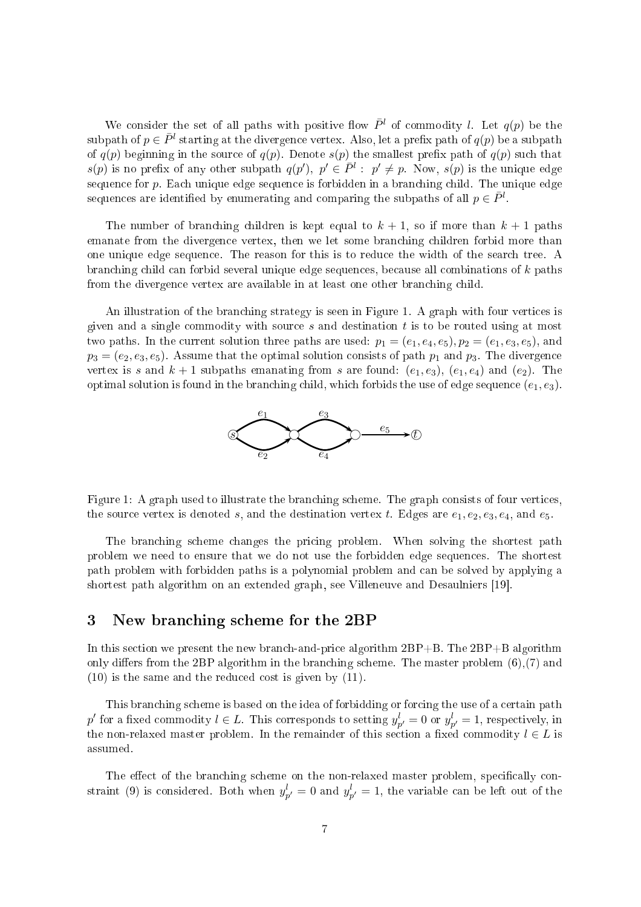We consider the set of all paths with positive flow  $\bar{P}^l$  of commodity l. Let  $q(p)$  be the subpath of  $p \in \bar{P}^l$  starting at the divergence vertex. Also, let a prefix path of  $q(p)$  be a subpath of  $q(p)$  beginning in the source of  $q(p)$ . Denote  $s(p)$  the smallest prefix path of  $q(p)$  such that  $s(p)$  is no prefix of any other subpath  $q(p')$ ,  $p' \in \bar{P}^l : p' \neq p$ . Now,  $s(p)$  is the unique edge sequence for  $p$ . Each unique edge sequence is forbidden in a branching child. The unique edge sequences are identified by enumerating and comparing the subpaths of all  $p \in \bar{P}^l$ .

The number of branching children is kept equal to  $k + 1$ , so if more than  $k + 1$  paths emanate from the divergence vertex, then we let some branching children forbid more than one unique edge sequen
e. The reason for this is to redu
e the width of the sear
h tree. A bran
hing hild an forbid several unique edge sequen
es, be
ause all ombinations of k paths from the divergen
e vertex are available in at least one other bran
hing hild.

An illustration of the branching strategy is seen in Figure 1. A graph with four vertices is given and <sup>a</sup> single ommodity with sour
e s and destination t is to be routed using at most two paths. In the current solution three paths are used:  $p_1 = (e_1, e_4, e_5), p_2 = (e_1, e_3, e_5)$ , and  $p_3 = (e_2, e_3, e_5)$ . Assume that the optimal solution consists of path  $p_1$  and  $p_3$ . The divergence vertex is s and  $k + 1$  subpaths emanating from s are found:  $(e_1, e_3)$ ,  $(e_1, e_4)$  and  $(e_2)$ . The optimal solution is found in the branching child, which forbids the use of edge sequence  $(e_1, e_3)$ .



Figure 1: A graph used to illustrate the branching scheme. The graph consists of four vertices, the source vertex is denoted s, and the destination vertex t. Edges are  $e_1, e_2, e_3, e_4$ , and  $e_5$ .

The bran
hing s
heme hanges the pri
ing problem. When solving the shortest path problem we need to ensure that we do not use the forbidden edge sequen
es. The shortest path problem with forbidden paths is a polynomial problem and an be solved by applying a shortest path algorithm on an extended graph, see Villeneuve and Desaulniers [19].

### 3New bran
hing s
heme for the 2BP

In this section we present the new branch-and-price algorithm  $2BP+B$ . The  $2BP+B$  algorithm only differs from the 2BP algorithm in the branching scheme. The master problem  $(6)$ ,  $(7)$  and (10) is the same and the redu
ed ost is given by (11).

This branching scheme is based on the idea of forbidding or forcing the use of a certain path  $p'$  for a fixed commodity  $l \in L$ . This corresponds to setting  $y_{p'}^l = 0$  or  $y_{p'}^l = 1$ , respectively, in the non-relaxed master problem. In the remainder of this section a fixed commodity  $l \in L$  is assumed.

The effect of the branching scheme on the non-relaxed master problem, specifically constraint (9) is considered. Both when  $y_{p'}^l = 0$  and  $y_{p'}^l = 1$ , the variable can be left out of the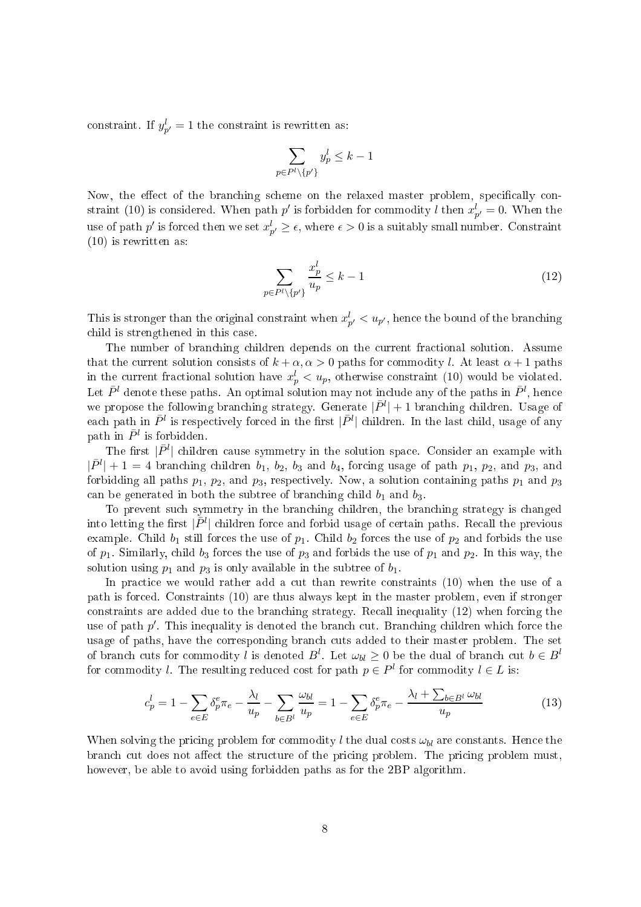constraint. If  $y_{p'}^l = 1$  the constraint is rewritten as:

$$
\sum_{p \in P^l \setminus \{p'\}} y_p^l \le k - 1
$$

Now, the effect of the branching scheme on the relaxed master problem, specifically constraint (10) is considered. When path  $p'$  is forbidden for commodity l then  $x_{p'}^l = 0$ . When the use of path  $p'$  is forced then we set  $x_{p'}^l \geq \epsilon$ , where  $\epsilon > 0$  is a suitably small number. Constraint (10) is rewritten as:

$$
\sum_{p \in P^l \setminus \{p'\}} \frac{x_p^l}{u_p} \le k - 1 \tag{12}
$$

This is stronger than the original constraint when  $x_{p'}^l < u_{p'}$ , hence the bound of the branching hild is strengthened in this ase.

The number of branching children depends on the current fractional solution. Assume that the current solution consists of  $k + \alpha, \alpha > 0$  paths for commodity l. At least  $\alpha + 1$  paths in the current fractional solution have  $x_p^l < u_p$ , otherwise constraint (10) would be violated. Let  $\bar{P}^l$  denote these paths. An optimal solution may not include any of the paths in  $\bar{P}^l$ , hence we propose the following branching strategy. Generate  $|\bar{P}^l|+1$  branching children. Usage of each path in  $\bar{P}^l$  is respectively forced in the first  $|\bar{P}^l|$  children. In the last child, usage of any path in  $\bar{P}^l$  is forbidden.

The first  $|\bar{P}^l|$  children cause symmetry in the solution space. Consider an example with  $|\bar{P}^{l}|+1=4$  branching children  $b_1$ ,  $b_2$ ,  $b_3$  and  $b_4$ , forcing usage of path  $p_1$ ,  $p_2$ , and  $p_3$ , and forbidding all paths  $p_1, p_2$ , and  $p_3$ , respectively. Now, a solution containing paths  $p_1$  and  $p_3$ can be generated in both the subtree of branching child  $b_1$  and  $b_3$ .

To prevent su
h symmetry in the bran
hing hildren, the bran
hing strategy is hanged into letting the first  $|\bar{P}^l|$  children force and forbid usage of certain paths. Recall the previous example. Child  $b_1$  still forces the use of  $p_1$ . Child  $b_2$  forces the use of  $p_2$  and forbids the use of  $p_1$ . Similarly, child  $b_3$  forces the use of  $p_3$  and forbids the use of  $p_1$  and  $p_2$ . In this way, the solution using  $p_1$  and  $p_3$  is only available in the subtree of  $b_1$ .

In practice we would rather add a cut than rewrite constraints (10) when the use of a path is for
ed. Constraints (10) are thus always kept in the master problem, even if stronger constraints are added due to the branching strategy. Recall inequality (12) when forcing the use of path  $p'$ . This inequality is denoted the branch cut. Branching children which force the usage of paths, have the orresponding bran
h uts added to their master problem. The set of branch cuts for commodity l is denoted  $B^l$ . Let  $\omega_{bl} \geq 0$  be the dual of branch cut  $b \in B^l$ for commodity l. The resulting reduced cost for path  $p \in P^l$  for commodity  $l \in L$  is:

$$
c_p^l = 1 - \sum_{e \in E} \delta_p^e \pi_e - \frac{\lambda_l}{u_p} - \sum_{b \in B^l} \frac{\omega_{bl}}{u_p} = 1 - \sum_{e \in E} \delta_p^e \pi_e - \frac{\lambda_l + \sum_{b \in B^l} \omega_{bl}}{u_p} \tag{13}
$$

When solving the pricing problem for commodity l the dual costs  $\omega_{bl}$  are constants. Hence the branch cut does not affect the structure of the pricing problem. The pricing problem must, however, be able to avoid using forbidden paths as for the 2BP algorithm.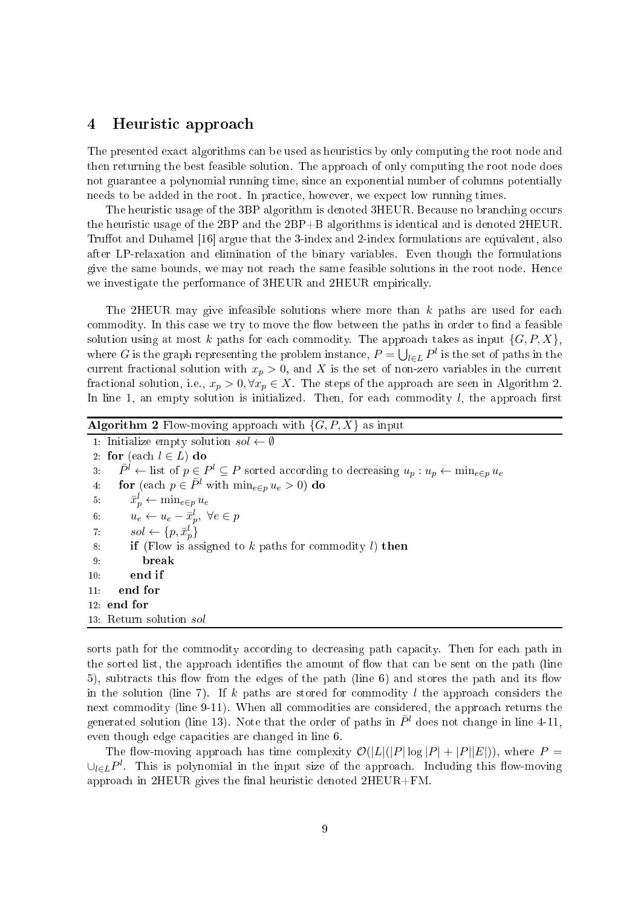### 4Heuristi approa
h

The presented exact algorithms can be used as heuristics by only computing the root node and then returning the best feasible solution. The approa
h of only omputing the root node does not guarantee a polynomial running time, since an exponential number of columns potentially needs to be added in the root. In pra
ti
e, however, we expe
t low running times.

The heuristic usage of the 3BP algorithm is denoted 3HEUR. Because no branching occurs the heuristic usage of the 2BP and the 2BP+B algorithms is identical and is denoted 2HEUR. Truffot and Duhamel  $[16]$  argue that the 3-index and 2-index formulations are equivalent, also after LP-relaxation and elimination of the binary variables. Even though the formulations give the same bounds, we may not reach the same feasible solutions in the root node. Hence we investigate the performance of 3HEUR and 2HEUR empirically.

The 2HEUR may give infeasible solutions where more than  $k$  paths are used for each commodity. In this case we try to move the flow between the paths in order to find a feasible solution using at most k paths for each commodity. The approach takes as input  $\{G, P, X\}$ , where  $G$  is the graph representing the problem instance,  $P = \bigcup_{l \in L} P^l$  is the set of paths in the current fractional solution with  $x_p > 0$ , and X is the set of non-zero variables in the current fractional solution, i.e.,  $x_p > 0$ ,  $\forall x_p \in X$ . The steps of the approach are seen in Algorithm 2. In line 1, an empty solution is initialized. Then, for each commodity  $l$ , the approach first

| <b>Algorithm 2</b> Flow-moving approach with $\{G, P, X\}$ as input                                                                           |  |
|-----------------------------------------------------------------------------------------------------------------------------------------------|--|
| 1. Initialize empty solution $sol \leftarrow \emptyset$                                                                                       |  |
| 2: for (each $l \in L$ ) do                                                                                                                   |  |
| $\overline{P}^l \leftarrow$ list of $p \in P^l \subseteq P$ sorted according to decreasing $u_p : u_p \leftarrow \min_{e \in p} u_e$<br>$3 -$ |  |
| for (each $p \in \bar{P}^l$ with $\min_{e \in p} u_e > 0$ ) do<br>4 <sup>1</sup>                                                              |  |
| $\bar{x}_{p}^{l} \leftarrow \min_{e \in p} u_e$<br>5:                                                                                         |  |
| 6: $u_e \leftarrow u_e - \bar{x}_p^l, \ \forall e \in p$                                                                                      |  |
| 7: $sol \leftarrow \{p, \bar{x}_p^l\}$                                                                                                        |  |
| <b>if</b> (Flow is assigned to k paths for commodity l) then<br>8.                                                                            |  |
| 9.<br>break                                                                                                                                   |  |
| end if<br>10:                                                                                                                                 |  |
| end for<br>11:                                                                                                                                |  |
| $12.$ end for                                                                                                                                 |  |
| 13: Return solution sol                                                                                                                       |  |

sorts path for the commodity according to decreasing path capacity. Then for each path in the sorted list, the approach identifies the amount of flow that can be sent on the path (line 5), subtracts this flow from the edges of the path (line 6) and stores the path and its flow in the solution (line 7). If k paths are stored for commodity l the approach considers the next commodity (line 9-11). When all commodities are considered, the approach returns the generated solution (line 13). Note that the order of paths in  $\bar{P}^l$  does not change in line 4-11, even though edge capacities are changed in line 6.

The flow-moving approach has time complexity  $\mathcal{O}(|L|(|P| \log |P| + |P||E|))$ , where  $P =$ ∪<sub>l∈L</sub>P<sup>l</sup>. This is polynomial in the input size of the approach. Including this flow-moving approach in  $2HEUR$  gives the final heuristic denoted  $2HEUR + FM$ .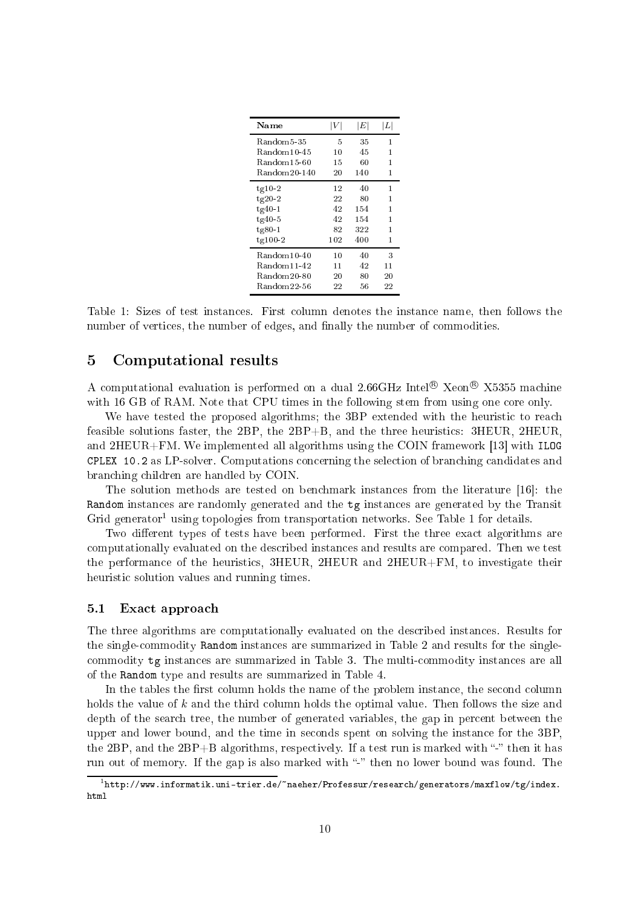| Name                    |     | $\left E\right $ | L  |
|-------------------------|-----|------------------|----|
| Random5-35              | 5   | 35               | 1  |
| Random10-45             | 10  | 45               | 1  |
| Random15-60             | 15  | 60               | 1  |
| Random20-140            | 20  | 140              | 1  |
| $tg10-2$                | 12  | 40               | 1  |
| $tg20-2$                | 22  | 80               | 1  |
| $tg40-1$                | 42  | 154              | 1  |
| $tg40-5$                | 42  | 154              | 1  |
| $tg80-1$                | 82  | 322              | 1  |
| $tg100-2$               | 102 | 400              | 1  |
| $Random10-40$           | 10  | 40               | 3  |
| Random <sub>11-42</sub> | 11  | 42               | 11 |
| Random20-80             | 20  | 80               | 20 |
| Random22-56             | 22  | 56               | 22 |

Table 1: Sizes of test instances. First column denotes the instance name, then follows the number of vertices, the number of edges, and finally the number of commodities.

### $\overline{5}$ Computational results

A computational evaluation is performed on a dual 2.66GHz Intel<sup>®</sup> Xeon<sup>®</sup> X5355 machine with 16 GB of RAM. Note that CPU times in the following stem from using one core only.

We have tested the proposed algorithms; the 3BP extended with the heuristic to reach feasible solutions faster, the 2BP, the 2BP+B, and the three heuristics: 3HEUR, 2HEUR. and  $2HEUR+FM$ . We implemented all algorithms using the COIN framework [13] with ILOG tion of the selection of the selections of the selections of the selection of the selection of the selection bran
hing hildren are handled by COIN.

The solution methods are tested on benchmark instances from the literature  $[16]$ : the Random instan
es are randomly generated and the tg instan
es are generated by the Transit Grid generator using topologies from transportation networks. See Table 1 for details.

Two different types of tests have been performed. First the three exact algorithms are omputationally evaluated on the des
ribed instan
es and results are ompared. Then we test the performan
e of the heuristi
s, 3HEUR, 2HEUR and 2HEUR+FM, to investigate their heuristic solution values and running times.

### 5.1Exact approach

The three algorithms are omputationally evaluated on the des
ribed instan
es. Results for the singleommodity Random instan
es are summarized in Table 2 and results for the single ommodity tg instan
es are summarized in Table 3. The multiommodity instan
es are all of the Random type and results are summarized in Table 4.

In the tables the first column holds the name of the problem instance, the second column holds the value of k and the third column holds the optimal value. Then follows the size and depth of the sear
h tree, the number of generated variables, the gap in per
ent between the upper and lower bound, and the time in seconds spent on solving the instance for the 3BP the 2BP, and the  $2BP+B$  algorithms, respectively. If a test run is marked with "-" then it has run out of memory. If the gap is also marked with "-" then no lower bound was found. The

<sup>.</sup> http://www.informatik.uni-trier.de/\_naeher/Professur/research/generators/maxflow/tg/index" html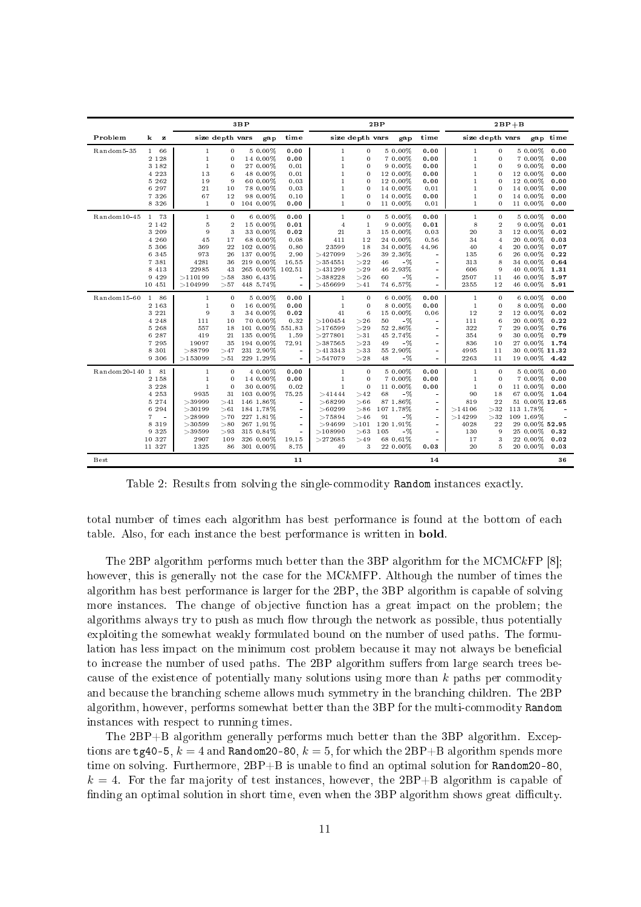| Problem<br>k.<br>$\mathbf{z}$<br>Random5-35<br>1 66<br>2 1 2 8<br>3 1 8 2<br>4 2 2 3<br>5 2 6 2<br>6 297<br>7 3 2 6<br>8 3 2 6<br>$Random10-45$<br>1 73<br>2 1 4 2<br>3 209<br>4 260<br>5 3 0 6<br>6 3 4 5<br>7 3 8 1<br>8 4 1 3<br>9 4 2 9<br>10 451<br>86<br>Random15-60<br>$1 -$ | size depth vars<br>$\bf{0}$<br>$\mathbf{1}$<br>$\Omega$<br>$\mathbf{1}$<br>$\mathbf{1}$<br>$\Omega$<br>13<br>6                                                                                                             | gap<br>5 0.00%                                                                                                                          | time<br>0.00                                                                                   |                                                                                                                              | size depth vars                                                                                  | gap                                                                                                                                        | time                                                                                                         | size depth vars                                                                                                              |                                                                                              |                                                                                                                    |                                                                                          | $2BP + B$ |  |  |  |  |
|-------------------------------------------------------------------------------------------------------------------------------------------------------------------------------------------------------------------------------------------------------------------------------------|----------------------------------------------------------------------------------------------------------------------------------------------------------------------------------------------------------------------------|-----------------------------------------------------------------------------------------------------------------------------------------|------------------------------------------------------------------------------------------------|------------------------------------------------------------------------------------------------------------------------------|--------------------------------------------------------------------------------------------------|--------------------------------------------------------------------------------------------------------------------------------------------|--------------------------------------------------------------------------------------------------------------|------------------------------------------------------------------------------------------------------------------------------|----------------------------------------------------------------------------------------------|--------------------------------------------------------------------------------------------------------------------|------------------------------------------------------------------------------------------|-----------|--|--|--|--|
|                                                                                                                                                                                                                                                                                     |                                                                                                                                                                                                                            |                                                                                                                                         |                                                                                                |                                                                                                                              |                                                                                                  |                                                                                                                                            |                                                                                                              |                                                                                                                              |                                                                                              |                                                                                                                    | gap time                                                                                 |           |  |  |  |  |
|                                                                                                                                                                                                                                                                                     | 19<br>9<br>21<br>10<br>67<br>12<br>$\mathbf{1}$<br>$\bf{0}$                                                                                                                                                                | 14 0.00%<br>27 0.00%<br>48 0.00%<br>60 0.00%<br>78 0.00%<br>98 0.00%<br>104 0.00%                                                       | 0.00<br>0.01<br>0.01<br>0.03<br>0.03<br>0.10<br>0.00                                           | $\mathbf{1}$<br>$\mathbf{1}$<br>$\mathbf{1}$<br>$\mathbf{1}$<br>$\mathbf{1}$<br>$\mathbf{1}$<br>$\mathbf{1}$<br>$\mathbf{1}$ | 0<br>0<br>0<br>$\Omega$<br>$\Omega$<br>$\Omega$<br>$\overline{0}$<br>0                           | 5 0.00%<br>7 0.00%<br>$90.00\%$<br>12 0.00%<br>12 0.00%<br>14 0.00%<br>14 0.00%<br>11 0.00%                                                | 0.00<br>0.00<br>0.00<br>0.00<br>0.00<br>0.01<br>0.00<br>0.01                                                 | $\mathbf{1}$<br>$\mathbf{1}$<br>$\mathbf{1}$<br>$\mathbf{1}$<br>$\mathbf{1}$<br>$\mathbf{1}$<br>$\mathbf{1}$<br>$\mathbf{1}$ | $\Omega$<br>$\Omega$<br>$\Omega$<br>$\Omega$<br>$\Omega$<br>$\Omega$<br>$\Omega$<br>$\bf{0}$ | 5 0.00%<br>7 0.00%<br>9 0 0 0 %<br>12 0.00%<br>12 0.00%<br>14 0.00%<br>14 0.00%<br>11 0.00%                        | 0.00<br>0.00<br>0.00<br>0.00<br>0.00<br>0.00<br>0.00<br>0.00                             |           |  |  |  |  |
|                                                                                                                                                                                                                                                                                     | $\Omega$<br>$\mathbf{1}$<br>5<br>$\overline{2}$<br>9<br>3<br>45<br>17<br>22<br>369<br>973<br>26<br>4281<br>36<br>22985<br>43<br>>110199<br>>58<br>>104999<br>>57                                                           | 6 0.00%<br>15 0.00%<br>33 0.00%<br>68 0.00%<br>102 0.00%<br>137 0.00%<br>219 0.00%<br>265 0.00% 102.51<br>380 6.43%<br>448 5.74%        | 0.00<br>0.01<br>0.02<br>0.08<br>0.80<br>2.90<br>16.55<br>ä,                                    | $\mathbf{1}$<br>$\overline{4}$<br>21<br>411<br>23599<br>>427099<br>>354551<br>>431299<br>>388228<br>>456699                  | $\Omega$<br>$\mathbf{1}$<br>3<br>12<br>18<br>>26<br>>22<br>>29<br>>26<br>>41                     | 5 0.00%<br>$90.00\%$<br>15 0.00%<br>24 0.00%<br>34 0.00%<br>39 2.36%<br>$-\%$<br>46<br>46 2.93%<br>$-$ %<br>60<br>74 6.57%                 | 0.00<br>0.01<br>0.03<br>0.56<br>44.96<br>$\equiv$<br>$\sim$<br>$\sim$<br>$\sim$<br>$\mathbf{r}$              | $\mathbf{1}$<br>8<br>20<br>34<br>40<br>135<br>313<br>606<br>2507<br>2355                                                     | $\Omega$<br>$\sqrt{2}$<br>3<br>$\overline{4}$<br>$\overline{4}$<br>6<br>8<br>9<br>11<br>12   | 5 0.00%<br>9 0.00%<br>12 0.00%<br>20 0.00%<br>20 0.00%<br>26 0.00%<br>34 0.00%<br>40 0.00%<br>46 0.00%<br>46 0.00% | 0.00<br>0.01<br>0.02<br>0.03<br>0.07<br>0.22<br>0.64<br>1.31<br>5.97<br>5.91             |           |  |  |  |  |
| 2 1 6 3<br>3 2 2 1<br>4 2 4 8<br>5 2 6 8<br>6 287<br>7 2 9 5<br>8 3 0 1<br>9 3 0 6                                                                                                                                                                                                  | $\Omega$<br>$\mathbf{1}$<br>$\mathbf{1}$<br>$\mathbf{0}$<br>9<br>3<br>111<br>10<br>557<br>18<br>419<br>21<br>19097<br>35<br>>88799<br>>47<br>>153099<br>>51                                                                | 5 0.00%<br>16 0.00%<br>34 0.00%<br>70 0.00%<br>101 0.00%<br>135 0.00%<br>194 0.00%<br>231 2.90%<br>229 1.29%                            | 0.00<br>0.00<br>0.02<br>0.32<br>551.83<br>1.59<br>72.91<br>$\sim$<br>÷.                        | $\mathbf{1}$<br>$\mathbf{1}$<br>41<br>>100454<br>>176599<br>>277801<br>>387565<br>>413343<br>>547079                         | $\Omega$<br>0<br>6<br>>26<br>>29<br>>31<br>>23<br>>33<br>>28                                     | 6 0.00%<br>8 0.00%<br>15 0.00%<br>$-96$<br>50<br>52 2.86%<br>45 2 7 4%<br>$-96$<br>49<br>55 2.90%<br>$-$ %<br>48                           | 0.00<br>0.00<br>0.06<br>÷.<br>÷.<br>$\blacksquare$<br>$\sim$<br>÷.<br>÷.                                     | $\mathbf{1}$<br>$\mathbf{1}$<br>12<br>111<br>322<br>354<br>836<br>4995<br>2263                                               | $\Omega$<br>$\Omega$<br>$\overline{2}$<br>6<br>$\overline{7}$<br>9<br>10<br>11<br>11         | 6 0.00%<br>8 0.00%<br>12 0.00%<br>20 0.00%<br>29 0.00%<br>30 0.00%<br>27 0.00%<br>19 0.00%                         | 0.00<br>0.00<br>0.02<br>0.22<br>0.76<br>0.79<br>1.74<br>30 0.00% 11.32<br>4.42           |           |  |  |  |  |
| Random20-140 1<br>81<br>2 1 5 8<br>3 2 2 8<br>4 2 5 3<br>5 2 7 4<br>6 2 9 4<br>7<br>$\sim$<br>8 3 1 9<br>9 3 2 5<br>10 327<br>11 327<br>Best                                                                                                                                        | $\mathbf{0}$<br>$\mathbf{1}$<br>$\Omega$<br>$\mathbf{1}$<br>$\mathbf{0}$<br>$\mathbf{1}$<br>9935<br>31<br>>39999<br>>41<br>>30199<br>> 61<br>>28999<br>>70<br>>30599<br>> 80<br>>39599<br>>93<br>2907<br>109<br>1325<br>86 | 4 0.00%<br>14 0.00%<br>30 0.00%<br>103 0.00%<br>146 1.86%<br>184 1.78%<br>227 1.81%<br>267 1.91%<br>315 0.84%<br>326 0.00%<br>301 0.00% | 0.00<br>0.00<br>0.02<br>75.25<br>$\sim$<br>÷.<br>$\sim$<br>$\omega$<br>$\sim$<br>19.15<br>8.75 | $\mathbf{1}$<br>$\mathbf{1}$<br>$\mathbf{1}$<br>>41444<br>>68299<br>>60299<br>>75894<br>> 94699<br>>108990<br>>272685<br>49  | $\mathbf{0}$<br>$\Omega$<br>$\mathbf{0}$<br>>42<br>>66<br>> 86<br>>46<br>>101<br>>63<br>>49<br>3 | 5 0.00%<br>7 0.00%<br>11 0.00%<br>$-$ %<br>68<br>87 1.86%<br>107 1.78%<br>$-$ %<br>91<br>120 1.91%<br>$-$ %<br>105<br>68 0.61%<br>22 0.00% | 0.00<br>0.00<br>0.00<br>$\sim$<br>$\mathbf{r}$<br>$\omega$<br>$\omega$<br>$\sim$<br>$\sim$<br>$\sim$<br>0.03 | $\mathbf{1}$<br>$\mathbf{1}$<br>$\mathbf{1}$<br>90<br>819<br>>14106<br>>14299<br>4028<br>130<br>17<br>20                     | $\mathbf{0}$<br>$\Omega$<br>$\Omega$<br>18<br>22<br>>32<br>>32<br>22<br>9<br>3<br>5          | 5 0.00%<br>7 0.00%<br>11 0.00%<br>67 0.00%<br>113 1.78%<br>109 1.69%<br>25 0.00%<br>22 0.00%<br>20 0.00%           | 0.00<br>0.00<br>0.00<br>1.04<br>51 0.00% 12.65<br>29 0.00% 52.95<br>0.32<br>0.02<br>0.03 |           |  |  |  |  |

Table 2: Results from solving the singleommodity Random instan
es exa
tly.

total number of times each algorithm has best performance is found at the bottom of each table. Also, for each instance the best performance is written in **bold**.

The 2BP algorithm performs much better than the 3BP algorithm for the MCMCkFP  $[8]$ ; however, this is generally not the case for the  $MCKMFP$ . Although the number of times the algorithm has best performan
e is larger for the 2BP, the 3BP algorithm is apable of solving more instances. The change of objective function has a great impact on the problem; the algorithms always try to push as much flow through the network as possible, thus potentially exploiting the somewhat weakly formulated bound on the number of used paths. The formulation has less impact on the minimum cost problem because it may not always be beneficial to increase the number of used paths. The 2BP algorithm suffers from large search trees because of the existence of potentially many solutions using more than  $k$  paths per commodity and because the branching scheme allows much symmetry in the branching children. The 2BP algorithm, however, performs somewhat better than the 3BP for the multiommodity Random instan
es with respe
t to running times.

The 2BP+B algorithm generally performs mu
h better than the 3BP algorithm. Ex
eptions are  $\texttt{tg40-5}$ ,  $k = 4$  and Random20-80,  $k = 5$ , for which the 2BP+B algorithm spends more time on solving. Furthermore,  $2BP+B$  is unable to find an optimal solution for Random20-80,  $k = 4$ . For the far majority of test instances, however, the 2BP+B algorithm is capable of finding an optimal solution in short time, even when the 3BP algorithm shows great difficulty.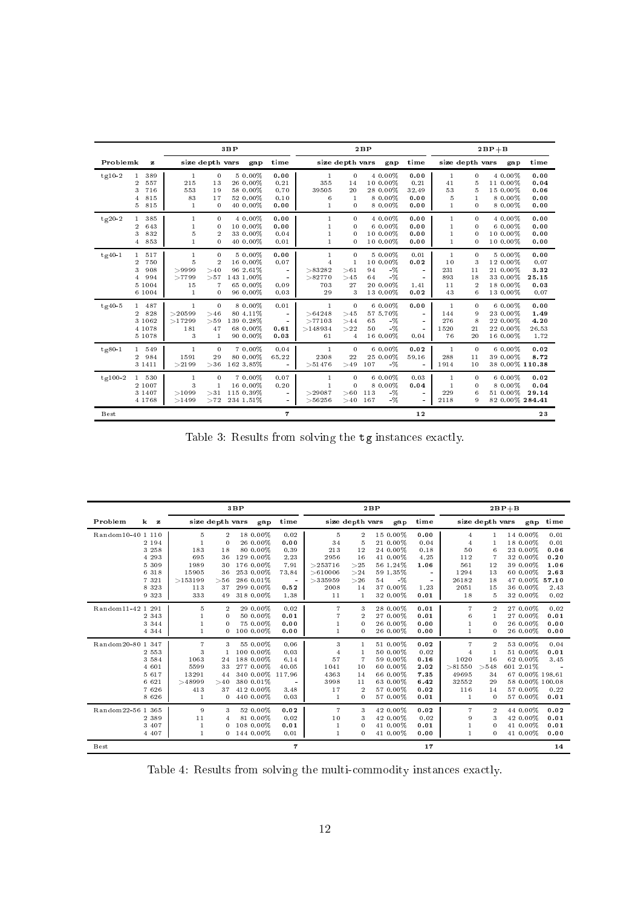|           |                                                                                          | 3BP                                                       |                                                                            |                                                                      |                                                  | 2BP                                                             |                                                          |                                                                           |                                                  | $2BP + B$                                                    |                                           |                                                                     |                                               |
|-----------|------------------------------------------------------------------------------------------|-----------------------------------------------------------|----------------------------------------------------------------------------|----------------------------------------------------------------------|--------------------------------------------------|-----------------------------------------------------------------|----------------------------------------------------------|---------------------------------------------------------------------------|--------------------------------------------------|--------------------------------------------------------------|-------------------------------------------|---------------------------------------------------------------------|-----------------------------------------------|
| Problemk  | $\mathbf{z}$                                                                             |                                                           | size depth vars                                                            | gap                                                                  | time                                             |                                                                 | size depth vars                                          | gap                                                                       | time                                             | size depth vars                                              |                                           | gap                                                                 | time                                          |
| $tg10-2$  | 389<br>$\overline{2}$<br>557<br>716<br>3<br>815<br>4<br>815<br>5                         | $\mathbf{1}$<br>215<br>553<br>83<br>1                     | $\overline{0}$<br>13<br>19<br>17<br>$\mathbf{0}$                           | 50.00%<br>26 0.00%<br>58 0.00%<br>52 0.00%<br>40 0.00%               | 0.00<br>0.21<br>0.70<br>0.10<br>0.00             | -1<br>355<br>39505<br>6<br>1                                    | $\mathbf{0}$<br>14<br>20<br>$\mathbf{1}$<br>$\Omega$     | 4 0.00%<br>10 0.00%<br>28 0.00%<br>8 0.00%<br>8 0.00%                     | 0.00<br>0.21<br>32.49<br>0.00<br>0.00            | $\mathbf{1}$<br>41<br>53<br>5<br>$\mathbf{1}$                | 0<br>5<br>5<br>1<br>0                     | 4 0.00%<br>11 0.00%<br>15 0.00%<br>8 0.00%<br>8 0.00%               | 0.00<br>0.04<br>0.06<br>0.00<br>0.00          |
| $tg20-2$  | 385<br>643<br>$\overline{2}$<br>832<br>3<br>853<br>4                                     | $\mathbf{1}$<br>$\mathbf{1}$<br>5<br>$\mathbf{1}$         | $\Omega$<br>$\Omega$<br>$\overline{2}$<br>$\Omega$                         | 4 0.00%<br>10 0.00%<br>33 0.00%<br>40 0.00%                          | 0.00<br>0.00<br>0.04<br>0.01                     | $\mathbf{1}$<br>$\mathbf{1}$<br>$\mathbf{1}$<br>$\mathbf{1}$    | $\Omega$<br>$\bf{0}$<br>$\bf{0}$<br>$\Omega$             | 4 0.00%<br>$60.00\%$<br>10 0.00%<br>10 0.00%                              | 0.00<br>0.00<br>0.00<br>0.00                     | $\mathbf{1}$<br>$\mathbf{1}$<br>$\mathbf{1}$<br>$\mathbf{1}$ | $\Omega$<br>0<br>$\theta$<br>$\theta$     | 4 0.00%<br>6 0.00%<br>10 0.00%<br>10 0.00%                          | 0.00<br>0.00<br>0.00<br>0.00                  |
| $tg40-1$  | 517<br>$\mathbf{1}$<br>750<br>$\overline{2}$<br>3<br>908<br>994<br>4<br>5 1004<br>6 1004 | $\mathbf{1}$<br>5<br>>9999<br>>7799<br>15<br>$\mathbf{1}$ | $\mathbf{0}$<br>$\overline{2}$<br>>40<br>>57<br>$\overline{7}$<br>$\Omega$ | 5 0.00%<br>16 0.00%<br>96 2.61%<br>143 1.00%<br>65 0.00%<br>96 0.00% | 0.00<br>0.07<br>$\sim$<br>$\sim$<br>0.09<br>0.03 | $\mathbf{1}$<br>$\overline{4}$<br>>83282<br>>82770<br>703<br>29 | $\mathbf{0}$<br>$\overline{1}$<br>> 61<br>>45<br>27<br>3 | 5 0.00%<br>10 0.00%<br>$-$ %<br>94<br>$-$ %<br>64<br>20 0.00%<br>13 0.00% | 0.01<br>0.02<br>$\sim$<br>$\sim$<br>1.41<br>0.02 | $\mathbf{1}$<br>10<br>231<br>893<br>11<br>43                 | 0<br>3<br>11<br>18<br>$\overline{2}$<br>6 | 5 0.00%<br>12 0.00%<br>21 0.00%<br>33 0.00%<br>18 0.00%<br>13 0.00% | 0.00<br>0.07<br>3.32<br>25.15<br>0.03<br>0.07 |
| $tg40-5$  | 1 487<br>828<br>2<br>3 1 0 6 2<br>4 1 0 7 8<br>5 1 0 7 8                                 | 1<br>>20599<br>>17299<br>181<br>3                         | $\mathbf{0}$<br>>46<br>> 59<br>47<br>$\mathbf{1}$                          | 8 0 0 0 %<br>80 4.11%<br>139 0.28%<br>68 0.00%<br>90 0.00%           | 0.01<br>$\sim$<br>$\sim$<br>0.61<br>0.03         | -1<br>>64248<br>>77103<br>>148934<br>61                         | $\bf{0}$<br>>45<br>>44<br>>22<br>$\overline{4}$          | $60.00\%$<br>57 5.70%<br>$-\%$<br>65<br>50<br>$-$ %<br>16 0.00%           | 0.00<br>$\sim$<br>$\omega$<br>$\sim$<br>0.04     | -1<br>144<br>276<br>1520<br>76                               | 0<br>9<br>8<br>21<br>20                   | $60.00\%$<br>23 0.00%<br>22 0.00%<br>22 0.00%<br>16 0.00%           | 0.00<br>1.49<br>4.20<br>26.53<br>1.72         |
| $tg80-1$  | 549<br>$\mathbf{1}$<br>984<br>$\overline{2}$<br>3 1 4 1 1                                | $\mathbf{1}$<br>1591<br>>2199                             | $\mathbf{0}$<br>29<br>>36                                                  | 7 0.00%<br>80 0.00%<br>162 3.85%                                     | 0.04<br>65.22<br>$\sim$                          | $\mathbf{1}$<br>2308<br>>51476                                  | $\mathbf{0}$<br>22<br>>49                                | $60.00\%$<br>25 0.00%<br>107<br>$-$ %                                     | 0.02<br>59.16<br>$\sim$                          | $\mathbf{1}$<br>288<br>1914                                  | $\mathbf{0}$<br>11<br>10                  | 6 0.00%<br>39 0.00%<br>38 0.00% 110.38                              | 0.02<br>8.72                                  |
| $tg100-2$ | 530<br>2 1007<br>3 1 4 0 7<br>4 1 7 6 8                                                  | 1<br>3<br>>1099<br>>1499                                  | $\Omega$<br>$\mathbf{1}$<br>>31<br>>72                                     | 7 0.00%<br>16 0.00%<br>115 0.39%<br>234 1.51%                        | 0.07<br>0.20<br>$\sim$<br>$\sim$                 | 1<br>$\mathbf{1}$<br>>29087<br>>56256                           | 0<br>$\Omega$<br>> 60<br>>40                             | $60.00\%$<br>8 0.00%<br>113<br>$-$ %<br>167<br>$-\%$                      | 0.03<br>0.04<br>$\sim$<br>$\sim$                 | $\mathbf{1}$<br>$\mathbf{1}$<br>229<br>2118                  | $\Omega$<br>0<br>6<br>9                   | $60.00\%$<br>$80.00\%$<br>51 0.00%<br>82 0.00% 284.41               | 0.02<br>0.04<br>29.14                         |
| Best      |                                                                                          |                                                           |                                                                            |                                                                      | $\overline{7}$                                   |                                                                 |                                                          |                                                                           | 12                                               |                                                              |                                           |                                                                     | 23                                            |

Table 3: Results from solving the  $\ensuremath{\mathsf{tg}}$  instances exactly.

|                                                                                                                   |                                                                                                                        | 3BP                                                                                                             |                                                                 | 2BP                                                                                         |                                                                                     |                                                                                                          |                                                                      | $2BP + B$                                                                                         |                                                                              |                                                                                                                         |                                                      |
|-------------------------------------------------------------------------------------------------------------------|------------------------------------------------------------------------------------------------------------------------|-----------------------------------------------------------------------------------------------------------------|-----------------------------------------------------------------|---------------------------------------------------------------------------------------------|-------------------------------------------------------------------------------------|----------------------------------------------------------------------------------------------------------|----------------------------------------------------------------------|---------------------------------------------------------------------------------------------------|------------------------------------------------------------------------------|-------------------------------------------------------------------------------------------------------------------------|------------------------------------------------------|
| $\bf k$<br>Problem<br>$\mathbf{z}$                                                                                | size depth vars                                                                                                        | gap                                                                                                             | time                                                            |                                                                                             | size depth vars                                                                     | gap                                                                                                      | time                                                                 |                                                                                                   | size depth vars                                                              | gap                                                                                                                     | time                                                 |
| Random10-40 1 110<br>2 194<br>3 258<br>4 293<br>5 309<br>6 318<br>7 3 2 1<br>8 3 2 3                              | $\overline{2}$<br>5<br>$\Omega$<br>183<br>18<br>695<br>36<br>1989<br>30<br>15905<br>36<br>>153199<br>> 56<br>113<br>37 | 18 0.00%<br>26 0.00%<br>80 0.00%<br>129 0.00%<br>176 0.00%<br>253 0.00%<br>286 0.01%<br>299 0.00%               | 0.02<br>0.00<br>0.39<br>2.23<br>7.91<br>73.84<br>0.52           | 5<br>34<br>213<br>2956<br>>253716<br>>610006<br>>335959<br>2008                             | $\sqrt{2}$<br>$\overline{5}$<br>12<br>16<br>>25<br>>24<br>>26<br>14                 | 15 0.00%<br>21 0.00%<br>24 0.00%<br>41 0.00%<br>56 1.24%<br>59 1.35%<br>54<br>-%<br>37 0.00%             | 0.00<br>0.04<br>0.18<br>4.25<br>1.06<br>1.23                         | 4<br>$\overline{4}$<br>50<br>112<br>561<br>1294<br>26182<br>2051                                  | 6<br>12<br>13<br>18<br>15                                                    | 14 0.00%<br>18 0.00%<br>23 0.00%<br>32 0.00%<br>39 0.00%<br>60 0.00%<br>47 0.00% 57.10<br>36 0.00%                      | 0.01<br>0.01<br>0.06<br>0.20<br>1.06<br>2.63<br>2.43 |
| 9 3 2 3<br>Random11-42 1 291<br>2 3 4 3<br>3 3 4 4<br>4 3 4 4                                                     | 333<br>49<br>5<br>$\overline{2}$<br>$\Omega$<br>$\Omega$<br>0                                                          | 318 0.00%<br>29 0.00%<br>50 0.00%<br>75 0.00%<br>100 0.00%                                                      | 1.38<br>0.02<br>0.01<br>0.00<br>0.00                            | 11<br>$\overline{7}$<br>$\overline{7}$<br>$\mathbf{1}$<br>$\mathbf{1}$                      | $\overline{1}$<br>3<br>$\overline{2}$<br>$\mathbf{0}$<br>$\theta$                   | 32 0.00%<br>28 0.00%<br>27 0.00%<br>26 0.00%<br>26 0.00%                                                 | 0.01<br>0.01<br>0.01<br>0.00<br>0.00                                 | 18<br>7<br>6<br>$\mathbf{1}$                                                                      | 5<br>$\overline{2}$<br>$\Omega$<br>$\Omega$                                  | 32 0.00%<br>27 0.00%<br>27 0.00%<br>26 0.00%<br>26 0.00%                                                                | 0.02<br>0.02<br>0.01<br>0.00<br>0.00                 |
| Random20-80 1 347<br>2 5 5 3<br>3 5 8 4<br>4 601<br>5 6 1 7<br>6 6 2 1<br>7 6 2 6<br>8 6 2 6<br>Random22-56 1 365 | $\overline{7}$<br>3<br>3<br>1063<br>24<br>5599<br>33<br>13291<br>44<br>>48999<br>>40<br>413<br>37<br>0<br>1<br>9<br>3  | 55 0.00%<br>100 0.00%<br>188 0.00%<br>277 0.00%<br>340 0.00%<br>380 0.01%<br>412 0.00%<br>440 0.00%<br>52 0.00% | 0.06<br>0.03<br>6.14<br>40.05<br>117.96<br>3.48<br>0.03<br>0.02 | 3<br>$\overline{4}$<br>57<br>1041<br>4363<br>3998<br>17<br>$\overline{1}$<br>$\overline{7}$ | $\mathbf{1}$<br>$\overline{7}$<br>10<br>14<br>11<br>$\overline{2}$<br>$\Omega$<br>3 | 51 0.00%<br>50 0.00%<br>59 0.00%<br>60 0.00%<br>66 0.00%<br>63 0.00%<br>57 0.00%<br>57 0.00%<br>42 0.00% | 0.02<br>0.02<br>0.16<br>2.02<br>7.35<br>6.42<br>0.02<br>0.01<br>0.02 | $\overline{7}$<br>$\overline{4}$<br>1020<br>> 81550<br>49695<br>32552<br>116<br>$\mathbf{1}$<br>7 | $\overline{2}$<br>16<br>>548<br>34<br>29<br>14<br>$\Omega$<br>$\overline{2}$ | 53 0.00%<br>51 0.00%<br>62 0.00%<br>601 2.01%<br>67 0.00% 198.61<br>58 0.00% 100.08<br>57 0.00%<br>57 0.00%<br>44 0.00% | 0.04<br>0.01<br>3.45<br>0.22<br>0.01<br>0.02         |
| 2 389<br>3 407<br>4 407<br>Best                                                                                   | 11<br>4<br>$\Omega$<br>0                                                                                               | 81 0.00%<br>108 0.00%<br>144 0.00%                                                                              | 0.02<br>0.01<br>0.01<br>$\mathbf{7}$                            | 10<br>$\mathbf{1}$<br>$\mathbf{1}$                                                          | 3<br>$\bf{0}$<br>$\Omega$                                                           | 42 0.00%<br>41 0.00%<br>41 0.00%                                                                         | 0.02<br>0.01<br>0.00<br>17                                           | 9                                                                                                 | 3<br>$\Omega$<br>$\Omega$                                                    | 42 0.00%<br>41 0.00%<br>41 0.00%                                                                                        | 0.01<br>0.01<br>0.00<br>14                           |

Table 4: Results from solving the multi-commodity instances exactly.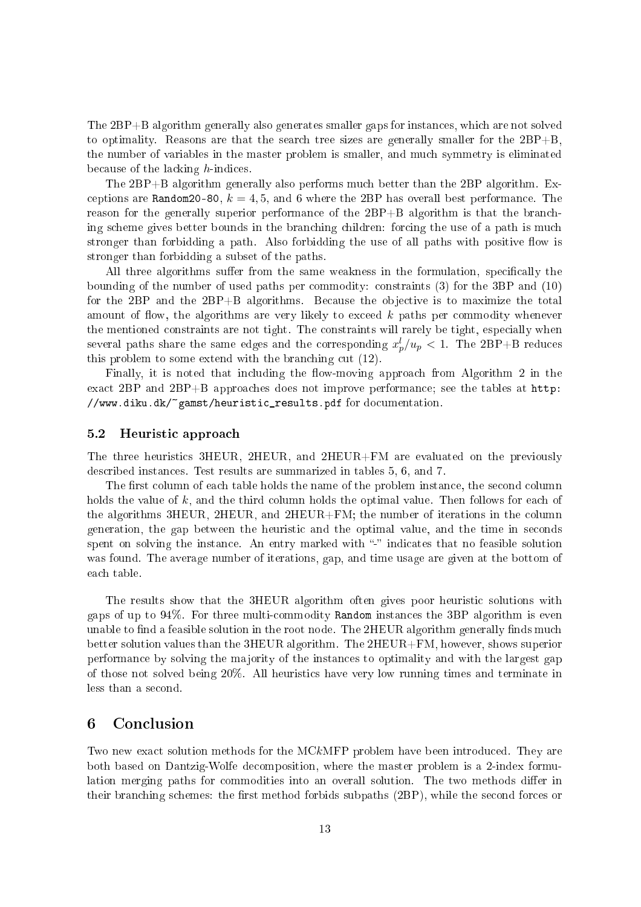The 2BP+B algorithm generally also generates smaller gaps for instan
es, whi
h are not solved to optimality. Reasons are that the search tree sizes are generally smaller for the  $2BP+B$ the number of variables in the master problem is smaller, and mu
h symmetry is eliminated because of the lacking  $h$ -indices.

The 2BP+B algorithm generally also performs mu
h better than the 2BP algorithm. Ex ceptions are Random20-80,  $k = 4, 5$ , and 6 where the 2BP has overall best performance. The reason for the generally superior performance of the 2BP+B algorithm is that the branching scheme gives better bounds in the branching children: forcing the use of a path is much stronger than forbidding a path. Also forbidding the use of all paths with positive flow is stronger than forbidding a subset of the paths.

All three algorithms suffer from the same weakness in the formulation, specifically the bounding of the number of used paths per ommodity: onstraints (3) for the 3BP and (10) for the  $2BP$  and the  $2BP+B$  algorithms. Because the objective is to maximize the total amount of flow, the algorithms are very likely to exceed  $k$  paths per commodity whenever the mentioned constraints are not tight. The constraints will rarely be tight, especially when several paths share the same edges and the corresponding  $x_p^l/u_p < 1$ . The 2BP+B reduces this problem to some extend with the branching cut  $(12)$ .

Finally, it is noted that including the flow-moving approach from Algorithm 2 in the exa
t 2BP and 2BP+B approa
hes does not improve performan
e; see the tables at http: //www.diku.dk/~gamst/heuristi
\_results.pdf for do
umentation.

#### 5.2Heuristi approa
h

The three heuristics 3HEUR, 2HEUR, and 2HEUR+FM are evaluated on the previously des
ribed instan
es. Test results are summarized in tables 5, 6, and 7.

The first column of each table holds the name of the problem instance, the second column holds the value of  $k$ , and the third column holds the optimal value. Then follows for each of the algorithms 3HEUR, 2HEUR, and 2HEUR+FM; the number of iterations in the olumn generation, the gap between the heuristi and the optimal value, and the time in se
onds spent on solving the instance. An entry marked with "-" indicates that no feasible solution was found. The average number of iterations, gap, and time usage are given at the bottom of ea
h table.

The results show that the 3HEUR algorithm often gives poor heuristic solutions with gaps of up to 94%. For three multiommodity Random instan
es the 3BP algorithm is even unable to find a feasible solution in the root node. The 2HEUR algorithm generally finds much better solution values than the 3HEUR algorithm. The 2HEUR+FM, however, shows superior performan
e by solving the ma jority of the instan
es to optimality and with the largest gap of those not solved being 20%. All heuristi
s have very low running times and terminate in less than a second.

### 6**Conclusion**

Two new exact solution methods for the MCkMFP problem have been introduced. They are both based on Dantzig-Wolfe de
omposition, where the master problem is a 2-index formulation merging paths for commodities into an overall solution. The two methods differ in their branching schemes: the first method forbids subpaths (2BP), while the second forces or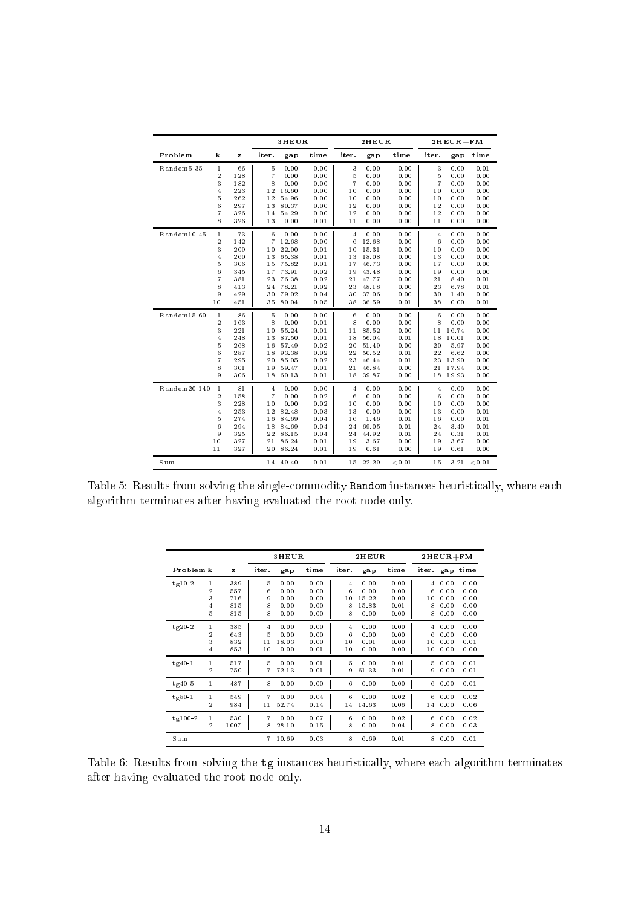|              |                     |            |                      | 3HEUR          |              |                | 2HEUR          |              |                  | $2HEUR + FM$  |              |
|--------------|---------------------|------------|----------------------|----------------|--------------|----------------|----------------|--------------|------------------|---------------|--------------|
| Problem      | k                   | z          | iter.                | gap            | time         | iter.          | gap            | time         | iter.            | gap           | time         |
| Random5-35   | $\mathbf{1}$        | 66         | 5                    | 0.00           | 0.00         | 3              | 0.00           | 0.00         | 3                | 0.00          | 0.01         |
|              | $\overline{2}$      | 128        | $\overline{7}$       | 0.00           | 0.00         | 5              | 0.00           | 0.00         | 5                | 0.00          | 0.00         |
|              | 3                   | 182        | 8                    | 0.00           | 0.00         | $\overline{7}$ | 0.00           | 0.00         | $\overline{7}$   | 0.00          | 0.00         |
|              | 4                   | 223        | 12                   | 16.60          | 0.00         | 10             | 0.00           | 0.00         | 10               | 0.00          | 0.00         |
|              | 5                   | 262        | 12                   | 54.96          | 0.00         | 10             | 0.00           | 0.00         | 10               | 0.00          | 0.00         |
|              | 6<br>$\overline{7}$ | 297<br>326 | 13<br>14             | 80.37<br>54.29 | 0.00<br>0.00 | 12<br>12       | 0.00<br>0.00   | 0.00<br>0.00 | 12<br>12         | 0.00<br>0.00  | 0.00<br>0.00 |
|              | 8                   | 326        | 13                   | 0.00           | 0.01         | 11             | 0.00           | 0.00         | 11               | 0.00          | 0.00         |
|              |                     |            |                      |                |              |                |                |              |                  |               |              |
| Random10-45  | $\mathbf{1}$        | 73         | 6                    | 0.00           | 0.00         | $\overline{4}$ | 0.00           | 0.00         | $\overline{4}$   | 0.00          | 0.00         |
|              | $\overline{2}$<br>3 | 142<br>209 | $\overline{7}$<br>10 | 12.68<br>22.00 | 0.00<br>0.01 | 6<br>10        | 12.68<br>15.31 | 0.00<br>0.00 | 6<br>10          | 0.00<br>0.00  | 0.00<br>0.00 |
|              | $\overline{4}$      | 260        | $1\,3$               | 65.38          | 0.01         | 13             | 18.08          | 0.00         | 13               | 0.00          | 0.00         |
|              | 5                   | 306        | 15                   | 75.82          | 0.01         | 17             | 46.73          | 0.00         | 17               | 0.00          | 0.00         |
|              | 6                   | 345        | 17                   | 73.91          | 0.02         | 19             | 43.48          | 0.00         | 19               | 0.00          | 0.00         |
|              | $\overline{7}$      | 381        | 23                   | 76.38          | 0.02         | 21             | 47.77          | 0.00         | 21               | 8.40          | 0.01         |
|              | 8                   | 413        | 24                   | 78.21          | 0.02         | 23             | 48.18          | 0.00         | 23               | 6.78          | 0.01         |
|              | 9                   | 429        | 30                   | 79.02          | 0.04         | 30             | 37.06          | 0.00         | 30               | 1.40          | 0.00         |
|              | 10                  | 451        | 35                   | 80.04          | 0.05         | 38             | 36.59          | 0.01         | 38               | 0.00          | 0.01         |
| Random15-60  | $1\,$               | 86         | 5                    | 0.00           | 0.00         | 6              | 0.00           | 0.00         | $\boldsymbol{6}$ | 0.00          | 0.00         |
|              | $\overline{2}$      | 163        | 8                    | 0.00           | 0.01         | 8              | 0.00           | 0.00         | 8                | 0.00          | 0.00         |
|              | 3                   | 221        | 10                   | 55.24          | 0.01         | 11             | 85.52          | 0.00         | 11               | 16.74         | 0.00         |
|              | 4                   | 248        | $1\,3$               | 87.50          | 0.01         | 18             | 56.04          | 0.01         | 18               | 10.01         | 0.00         |
|              | 5                   | 268        | 16                   | 57.49          | 0.02         | 20             | 51.49          | 0.00         | 20               | 5.97          | 0.00         |
|              | 6<br>7              | 287<br>295 | 18<br>20             | 93.38<br>85.05 | 0.02<br>0.02 | 22<br>23       | 50.52<br>46.44 | 0.01         | 22<br>23         | 6.62<br>13.90 | 0.00<br>0.00 |
|              | 8                   | 301        | 19                   | 59.47          | 0.01         | 21             | 46.84          | 0.01<br>0.00 | 21               | 17.94         | 0.00         |
|              | 9                   | 306        | 18                   | 60.13          | 0.01         | 18             | 39.87          | 0.00         | 18               | 19.93         | 0.00         |
| Random20-140 | $\mathbf{1}$        | 81         | 4                    | 0.00           | 0.00         | $\overline{4}$ | 0.00           | 0.00         | $\overline{4}$   | 0.00          | 0.00         |
|              | $\overline{2}$      | 158        | $\overline{7}$       | 0.00           | 0.02         | 6              | 0.00           | 0.00         | 6                | 0.00          | 0.00         |
|              | 3                   | 228        | 10                   | 0.00           | 0.02         | 10             | 0.00           | 0.00         | 10               | 0.00          | 0.00         |
|              | 4                   | 253        | 12                   | 82.48          | 0.03         | 13             | 0.00           | 0.00         | 13               | 0.00          | 0.01         |
|              | 5                   | 274        | 16                   | 84.69          | 0.04         | 16             | 1.46           | 0.01         | 16               | 0.00          | 0.01         |
|              | 6                   | 294        | 18                   | 84.69          | 0.04         | 24             | 69.05          | 0.01         | 24               | 3.40          | 0.01         |
|              | 9                   | 325        | $^{22}$              | 86.15          | 0.04         | 24             | 44.92          | 0.01         | 24               | 0.31          | 0.01         |
|              | 10                  | 327        | 21                   | 86.24          | 0.01         | 19             | 3.67           | 0.00         | 19               | 3.67          | 0.00         |
|              | 11                  | 327        | 20                   | 86.24          | 0.01         | 19             | 0.61           | 0.00         | 19               | 0.61          | 0.00         |
| Sum          |                     |            |                      | 14 49.40       | 0.01         | 15             | 22.29          | < 0.01       | 15               | 3.21          | < 0.01       |

Table 5: Results from solving the single-commodity Random instances heuristically, where each algorithm terminates after having evaluated the root node only.

|           |                       |                                 |                       | 3HEUR                                |                                      |                                     | <b>2HEUR</b>                           |                                      | $2HEUR + FM$                                                   |                                      |
|-----------|-----------------------|---------------------------------|-----------------------|--------------------------------------|--------------------------------------|-------------------------------------|----------------------------------------|--------------------------------------|----------------------------------------------------------------|--------------------------------------|
| Problem k |                       | z                               | iter.                 | gap                                  | time                                 | it er.                              | gap                                    | time                                 | iter.<br>gap                                                   | time                                 |
| $tg10-2$  | 1<br>2<br>3<br>4<br>5 | 389<br>557<br>716<br>815<br>815 | 5<br>6<br>9<br>8<br>8 | 0.00<br>0.00<br>0.00<br>0.00<br>0.00 | 0.00<br>0.00<br>0.00<br>0.00<br>0.00 | $\overline{4}$<br>6<br>10<br>8<br>8 | 0.00<br>0.00<br>15.22<br>15.83<br>0.00 | 0.00<br>0.00<br>0.00<br>0.01<br>0.00 | 0.00<br>4<br>6<br>0.00<br>10<br>0.00<br>8<br>0.00<br>8<br>0.00 | 0.00<br>0.00<br>0.00<br>0.00<br>0.00 |
| $tg20-2$  | 1<br>2<br>3<br>4      | 385<br>643<br>832<br>853        | 4<br>5<br>11<br>10    | 0.00<br>0.00<br>18.03<br>0.00        | 0.00<br>0.00<br>0.00<br>0.01         | $\overline{4}$<br>6<br>10<br>10     | 0.00<br>0.00<br>0.01<br>0.00           | 0.00<br>0.00<br>0.00<br>0.00         | 0.00<br>4<br>6<br>0.00<br>10<br>0.00<br>10<br>0.00             | 0.00<br>0.00<br>0.01<br>0.00         |
| $tg40-1$  | $\mathbf{1}$<br>2     | 517<br>750                      | 5<br>7                | 0.00<br>72.13                        | 0.01<br>0.01                         | 5<br>9                              | 0.00<br>61.33                          | 0.01<br>0.01                         | 5<br>0.00<br>9<br>0.00                                         | 0.01<br>0.01                         |
| $tg40-5$  | $\mathbf{1}$          | 487                             | 8                     | 0.00                                 | 0.00                                 | 6                                   | 0.00                                   | 0.00                                 | 6<br>0.00                                                      | 0.01                                 |
| $tg80-1$  | 1<br>2                | 549<br>984                      | $\overline{7}$<br>11  | 0.00<br>52.74                        | 0.04<br>0.14                         | 6<br>14                             | 0.00<br>14.63                          | 0.02<br>0.06                         | 6<br>0.00<br>14<br>0.00                                        | 0.02<br>0.06                         |
| $tg100-2$ | 1<br>2                | 530<br>1007                     | $\overline{7}$<br>8   | 0.00<br>28.10                        | 0.07<br>0.15                         | 6<br>8                              | 0.00<br>0.00                           | 0.02<br>0.04                         | 0.00<br>6<br>8<br>0.00                                         | 0.02<br>0.03                         |
| Sum       |                       |                                 | 7                     | 10.69                                | 0.03                                 | 8                                   | 6.69                                   | 0.01                                 | 8<br>0.00                                                      | 0.01                                 |

Table 6: Results from solving the tg instan
es heuristi
ally, where ea
h algorithm terminates after having evaluated the root node only.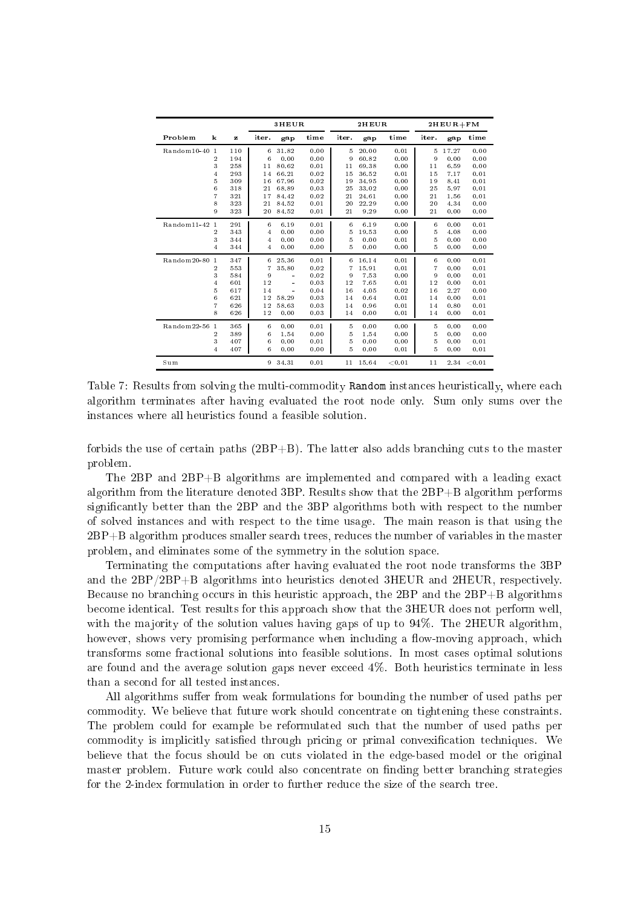|                               |     |                | 3HEUR                |      | 2HEUR |       |        |                | $2HEUR + FM$ |        |
|-------------------------------|-----|----------------|----------------------|------|-------|-------|--------|----------------|--------------|--------|
| Problem<br>k                  | z   | iter.          | gap                  | time | iter. | gap   | time   | iter.          | gap          | time   |
| Random10-40<br>$\overline{1}$ | 110 | 6              | 31.82                | 0.00 | 5     | 20.00 | 0.01   | 5              | 17.27        | 0.00   |
| 2                             | 194 | 6              | 0.00                 | 0.00 | 9     | 60.82 | 0.00   | 9              | 0.00         | 0.00   |
| 3                             | 258 | 11             | 80.62                | 0.01 | 11    | 69.38 | 0.00   | 11             | 6.59         | 0.00   |
| 4                             | 293 | 14             | 66.21                | 0.02 | 15    | 36.52 | 0.01   | 15             | 7.17         | 0.01   |
| 5                             | 309 | 16             | 67.96                | 0.02 | 19    | 34.95 | 0.00   | 19             | 8.41         | 0.01   |
| 6                             | 318 | 21             | 68.89                | 0.03 | 25    | 33.02 | 0.00   | 25             | 5.97         | 0.01   |
| 7                             | 321 | 17             | 84.42                | 0.02 | 21    | 24.61 | 0.00   | 21             | 1.56         | 0.01   |
| 8                             | 323 | 21             | 84.52                | 0.01 | 20    | 22.29 | 0.00   | 20             | 4.34         | 0.00   |
| 9                             | 323 | 20             | 84.52                | 0.01 | 21    | 9.29  | 0.00   | 21             | 0.00         | 0.00   |
| Random11-42<br>$\mathbf{1}$   | 291 | 6              | 6.19                 | 0.01 | 6     | 6.19  | 0.00   | 6              | 0.00         | 0.01   |
| $\overline{2}$                | 343 | 4              | 0.00                 | 0.00 | 5     | 19.53 | 0.00   | 5              | 4.08         | 0.00   |
| 3                             | 344 | 4              | 0.00                 | 0.00 | 5     | 0.00  | 0.01   | 5              | 0.00         | 0.00   |
| $\overline{4}$                | 344 | 4              | 0.00                 | 0.00 | 5     | 0.00  | 0.00   | 5              | 0.00         | 0.00   |
| Random20-80<br>$\overline{1}$ | 347 | 6              | 25.36                | 0.01 | 6     | 16.14 | 0.01   | 6              | 0.00         | 0.01   |
| 2                             | 553 | $\overline{7}$ | 35.80                | 0.02 | 7     | 15.91 | 0.01   | $\overline{7}$ | 0.00         | 0.01   |
| 3                             | 584 | 9              | $\sim$               | 0.02 | 9     | 7.53  | 0.00   | 9              | 0.00         | 0.01   |
| 4                             | 601 | 12             | $\ddot{\phantom{1}}$ | 0.03 | 12    | 7.65  | 0.01   | 12             | 0.00         | 0.01   |
| 5                             | 617 | 14             |                      | 0.04 | 16    | 4.05  | 0.02   | 16             | 2.27         | 0.00   |
| 6                             | 621 | 12             | 58.29                | 0.03 | 14    | 0.64  | 0.01   | 14             | 0.00         | 0.01   |
| $\overline{7}$                | 626 | 12             | 58.63                | 0.03 | 14    | 0.96  | 0.01   | 14             | 0.80         | 0.01   |
| 8                             | 626 | 12             | 0.00                 | 0.03 | 14    | 0.00  | 0.01   | 14             | 0.00         | 0.01   |
| Random22-56<br>$\overline{1}$ | 365 | 6              | 0.00                 | 0.01 | 5     | 0.00  | 0.00   | 5              | 0.00         | 0.00   |
| $\overline{2}$                | 389 | 6              | 1.54                 | 0.00 | 5     | 1.54  | 0.00   | 5              | 0.00         | 0.00   |
| 3                             | 407 | 6              | 0.00                 | 0.01 | 5     | 0.00  | 0.00   | 5              | 0.00         | 0.01   |
| 4                             | 407 | 6              | 0.00                 | 0.00 | 5     | 0.00  | 0.01   | 5              | 0.00         | 0.01   |
| Sum                           |     | 9              | 34.31                | 0.01 | 11    | 15.64 | < 0.01 | 11             | 2.34         | < 0.01 |

Table 7: Results from solving the multi-commodity Random instances heuristically, where each algorithm terminates after having evaluated the root node only. Sum only sums over the instan
es where all heuristi
s found a feasible solution.

forbids the use of certain paths  $(2BP+B)$ . The latter also adds branching cuts to the master problem.

The 2BP and 2BP+B algorithms are implemented and compared with a leading exact algorithm from the literature denoted 3BP. Results show that the 2BP+B algorithm performs significantly better than the 2BP and the 3BP algorithms both with respect to the number of solved instan
es and with respe
t to the time usage. The main reason is that using the 2BP+B algorithm produ
es smaller sear
h trees, redu
es the number of variables in the master problem, and eliminates some of the symmetry in the solution spa
e.

Terminating the omputations after having evaluated the root node transforms the 3BP and the  $2BP/2BP+B$  algorithms into heuristics denoted 3HEUR and 2HEUR, respectively. Because no branching occurs in this heuristic approach, the 2BP and the 2BP+B algorithms be
ome identi
al. Test results for this approa
h show that the 3HEUR does not perform well, with the majority of the solution values having gaps of up to 94%. The 2HEUR algorithm, however, shows very promising performance when including a flow-moving approach, which transforms some fractional solutions into feasible solutions. In most cases optimal solutions are found and the average solution gaps never ex
eed 4%. Both heuristi
s terminate in less than a se
ond for all tested instan
es.

All algorithms suffer from weak formulations for bounding the number of used paths per ommodity. We believe that future work should on
entrate on tightening these onstraints. The problem could for example be reformulated such that the number of used paths per commodity is implicitly satisfied through pricing or primal convexification techniques. We believe that the fo
us should be on uts violated in the edge-based model or the original master problem. Future work could also concentrate on finding better branching strategies for the 2-index formulation in order to further redu
e the size of the sear
h tree.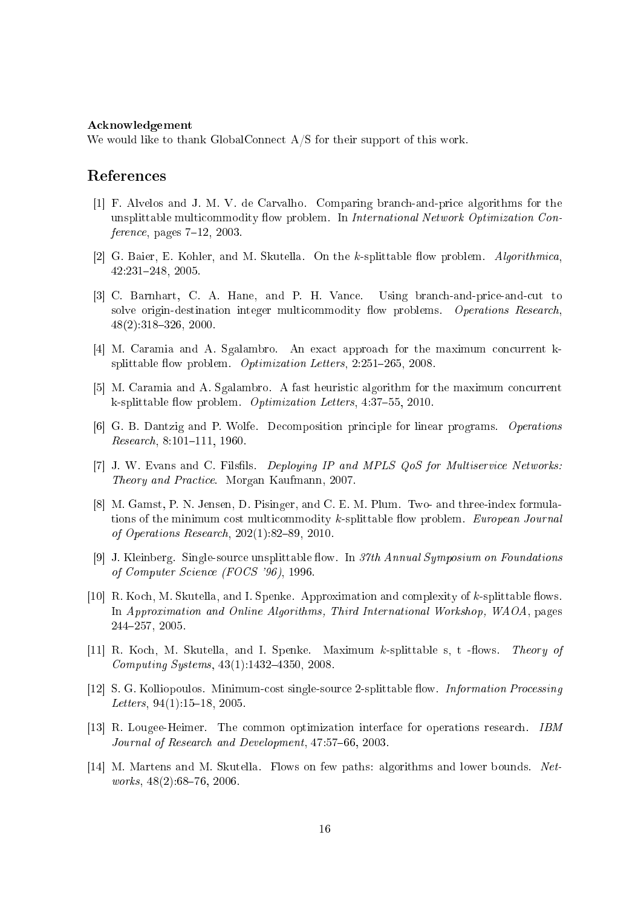## A
knowledgement

We would like to thank GlobalConnect A/S for their support of this work.

# Referen
es

- [1] F. Alvelos and J. M. V. de Carvalho. Comparing branch-and-price algorithms for the unsplittable multicommodity flow problem. In *International Network Optimization Con* $ference$ , pages  $7-12$ , 2003.
- [2] G. Baier, E. Kohler, and M. Skutella. On the k-splittable flow problem. Algorithmica 42:231248, 2005.
- [3] C. Barnhart, C. A. Hane, and P. H. Vance. Using branch-and-price-and-cut to solve origin-destination integer multicommodity flow problems. Operations Research  $48(2):318-326$ , 2000.
- [4] M. Caramia and A. Sgalambro. An exact approach for the maximum concurrent ksplittable flow problem. *Optimization Letters*,  $2:251-265$ ,  $2008$ .
- [5] M. Caramia and A. Sgalambro. A fast heuristic algorithm for the maximum concurrent k-splittable flow problem. *Optimization Letters*,  $4:37-55$ , 2010.
- [6] G. B. Dantzig and P. Wolfe. Decomposition principle for linear programs. *Operations* Research, 8:101-111, 1960
- [7] J. W. Evans and C. Filsfils. Deploying IP and MPLS QoS for Multiservice Networks: Theory and Pra
ti
e. Morgan Kaufmann, 2007.
- [8] M. Gamst, P. N. Jensen, D. Pisinger, and C. E. M. Plum. Two- and three-index formulations of the minimum cost multicommodity k-splittable flow problem. European Journal of Operations Research,  $202(1)$ :82-89, 2010.
- [9] J. Kleinberg. Single-source unsplittable flow. In 37th Annual Symposium on Foundations of Computer S
ien
e (FOCS '96), 1996.
- [10] R. Koch, M. Skutella, and I. Spenke. Approximation and complexity of  $k$ -splittable flows. In Approximation and Online Algorithms, Third International Workshop, WAOA, pages 244257, 2005.
- [11] R. Koch, M. Skutella, and I. Spenke. Maximum k-splittable s, t -flows. Theory of Computing Systems,  $43(1):1432-4350$ , 2008.
- [12] S. G. Kolliopoulos. Minimum-cost single-source 2-splittable flow. *Information Processing* Letters,  $94(1)$ :15-18, 2005.
- [13] R. Lougee-Heimer. The common optimization interface for operations research. - IBM Journal of Research and Development, 47:57-66, 2003.
- [14] M. Martens and M. Skutella. Flows on few paths: algorithms and lower bounds. Networks,  $48(2):68-76$ , 2006.